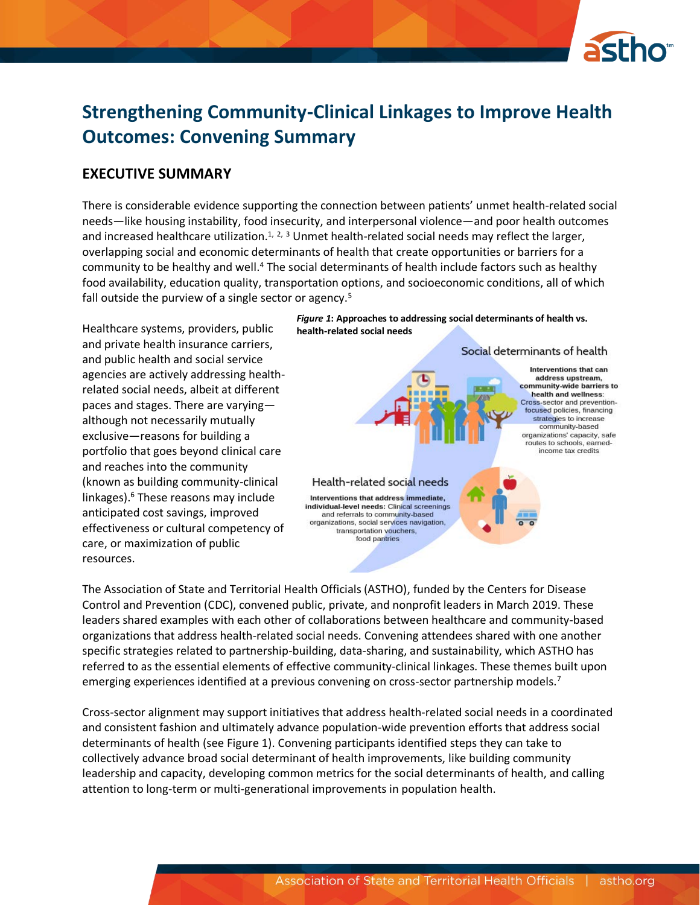

# **Strengthening Community-Clinical Linkages to Improve Health Outcomes: Convening Summary**

# **EXECUTIVE SUMMARY**

There is considerable evidence supporting the connection between patients' unmet health-related social needs—like housing instability, food insecurity, and interpersonal violence—and poor health outcomes and increased healthcare utilization.<sup>1, 2, 3</sup> Unmet health-related social needs may reflect the larger, overlapping social and economic determinants of health that create opportunities or barriers for a community to be healthy and well.<sup>4</sup> The social determinants of health include factors such as healthy food availability, education quality, transportation options, and socioeconomic conditions, all of which fall outside the purview of a single sector or agency.<sup>5</sup>

Healthcare systems, providers, public and private health insurance carriers, and public health and social service agencies are actively addressing healthrelated social needs, albeit at different paces and stages. There are varying although not necessarily mutually exclusive—reasons for building a portfolio that goes beyond clinical care and reaches into the community (known as building community-clinical linkages).<sup>6</sup> These reasons may include anticipated cost savings, improved effectiveness or cultural competency of care, or maximization of public resources.

*Figure 1***: Approaches to addressing social determinants of health vs. health-related social needs**

Social determinants of health Interventions that can address upstream. community-wide barriers to health and wellness: Cross-sector and preventionfocused policies, financing strategies to increase community-based organizations' capacity, safe routes to schools, earnedincome tax credits Health-related social needs Interventions that address immediate, individual-level needs: Clinical screenings and referrals to community-based. organizations, social services navigation, transportation vouchers, food pantries

The Association of State and Territorial Health Officials (ASTHO), funded by the Centers for Disease Control and Prevention (CDC), convened public, private, and nonprofit leaders in March 2019. These leaders shared examples with each other of collaborations between healthcare and community-based organizations that address health-related social needs. Convening attendees shared with one another specific strategies related to partnership-building, data-sharing, and sustainability, which ASTHO has referred to as the essential elements of effective community-clinical linkages. These themes built upon emerging experiences identified at a previous convening on cross-sector partnership models.<sup>7</sup>

Cross-sector alignment may support initiatives that address health-related social needs in a coordinated and consistent fashion and ultimately advance population-wide prevention efforts that address social determinants of health (see Figure 1). Convening participants identified steps they can take to collectively advance broad social determinant of health improvements, like building community leadership and capacity, developing common metrics for the social determinants of health, and calling attention to long-term or multi-generational improvements in population health.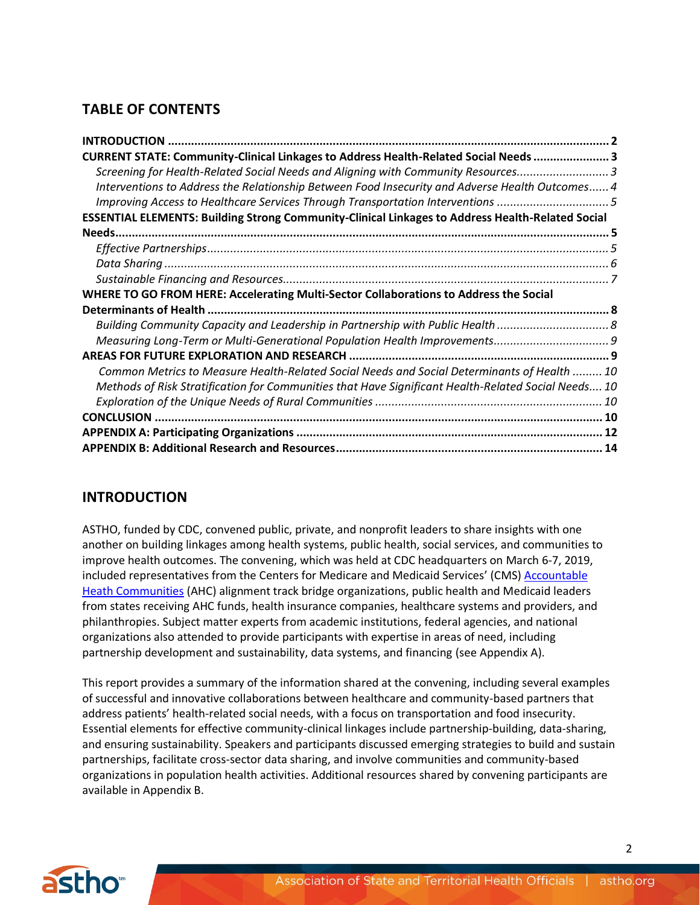# **TABLE OF CONTENTS**

| CURRENT STATE: Community-Clinical Linkages to Address Health-Related Social Needs  3                    |  |
|---------------------------------------------------------------------------------------------------------|--|
| Screening for Health-Related Social Needs and Aligning with Community Resources 3                       |  |
| Interventions to Address the Relationship Between Food Insecurity and Adverse Health Outcomes 4         |  |
| Improving Access to Healthcare Services Through Transportation Interventions 5                          |  |
| <b>ESSENTIAL ELEMENTS: Building Strong Community-Clinical Linkages to Address Health-Related Social</b> |  |
|                                                                                                         |  |
|                                                                                                         |  |
|                                                                                                         |  |
|                                                                                                         |  |
| WHERE TO GO FROM HERE: Accelerating Multi-Sector Collaborations to Address the Social                   |  |
|                                                                                                         |  |
|                                                                                                         |  |
|                                                                                                         |  |
|                                                                                                         |  |
| Common Metrics to Measure Health-Related Social Needs and Social Determinants of Health  10             |  |
| Methods of Risk Stratification for Communities that Have Significant Health-Related Social Needs 10     |  |
|                                                                                                         |  |
|                                                                                                         |  |
|                                                                                                         |  |
|                                                                                                         |  |

# <span id="page-1-0"></span>**INTRODUCTION**

ASTHO, funded by CDC, convened public, private, and nonprofit leaders to share insights with one another on building linkages among health systems, public health, social services, and communities to improve health outcomes. The convening, which was held at CDC headquarters on March 6-7, 2019, included representatives from the Centers for Medicare and Medicaid Services' (CMS) [Accountable](https://innovation.cms.gov/initiatives/ahcm/)  [Heath Communities](https://innovation.cms.gov/initiatives/ahcm/) (AHC) alignment track bridge organizations, public health and Medicaid leaders from states receiving AHC funds, health insurance companies, healthcare systems and providers, and philanthropies. Subject matter experts from academic institutions, federal agencies, and national organizations also attended to provide participants with expertise in areas of need, including partnership development and sustainability, data systems, and financing (see Appendix A).

This report provides a summary of the information shared at the convening, including several examples of successful and innovative collaborations between healthcare and community-based partners that address patients' health-related social needs, with a focus on transportation and food insecurity. Essential elements for effective community-clinical linkages include partnership-building, data-sharing, and ensuring sustainability. Speakers and participants discussed emerging strategies to build and sustain partnerships, facilitate cross-sector data sharing, and involve communities and community-based organizations in population health activities. Additional resources shared by convening participants are available in Appendix B.

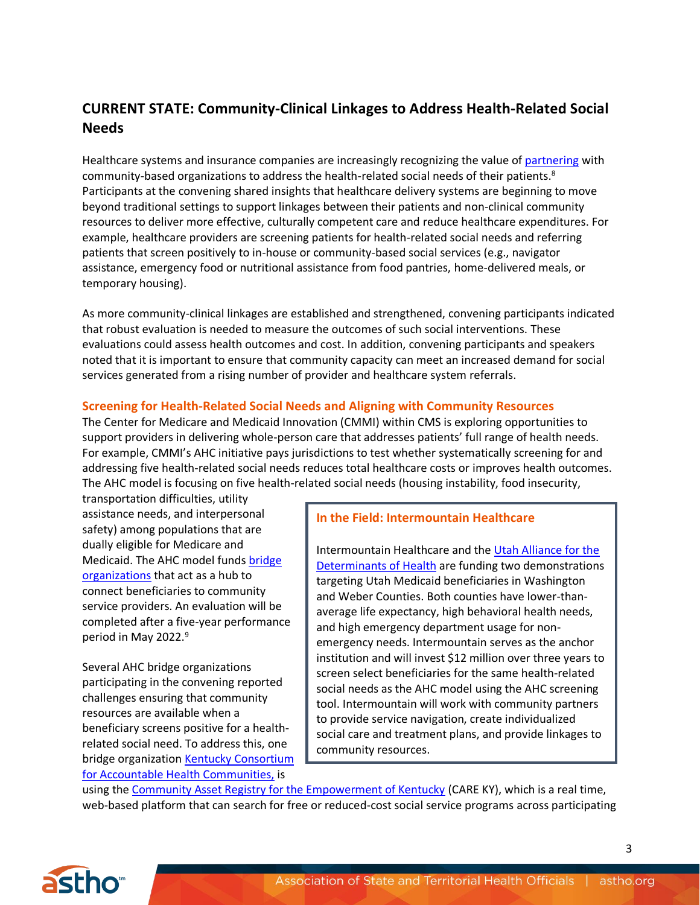# <span id="page-2-0"></span>**CURRENT STATE: Community-Clinical Linkages to Address Health-Related Social Needs**

Healthcare systems and insurance companies are increasingly recognizing the value of [partnering](https://www.chcs.org/partnering-improve-population-health-exploring-effective-community-based-organization-health-care-models/) with community-based organizations to address the health-related social needs of their patients.<sup>8</sup> Participants at the convening shared insights that healthcare delivery systems are beginning to move beyond traditional settings to support linkages between their patients and non-clinical community resources to deliver more effective, culturally competent care and reduce healthcare expenditures. For example, healthcare providers are screening patients for health-related social needs and referring patients that screen positively to in-house or community-based social services (e.g., navigator assistance, emergency food or nutritional assistance from food pantries, home-delivered meals, or temporary housing).

As more community-clinical linkages are established and strengthened, convening participants indicated that robust evaluation is needed to measure the outcomes of such social interventions. These evaluations could assess health outcomes and cost. In addition, convening participants and speakers noted that it is important to ensure that community capacity can meet an increased demand for social services generated from a rising number of provider and healthcare system referrals.

# <span id="page-2-1"></span>**Screening for Health-Related Social Needs and Aligning with Community Resources**

The Center for Medicare and Medicaid Innovation (CMMI) within CMS is exploring opportunities to support providers in delivering whole-person care that addresses patients' full range of health needs. For example, CMMI's AHC initiative pays jurisdictions to test whether systematically screening for and addressing five health-related social needs reduces total healthcare costs or improves health outcomes. The AHC model is focusing on five health-related social needs (housing instability, food insecurity,

transportation difficulties, utility assistance needs, and interpersonal safety) among populations that are dually eligible for Medicare and Medicaid. The AHC model fund[s bridge](https://innovation.cms.gov/initiatives/map/#model=accountable-health-communities-model)  [organizations](https://innovation.cms.gov/initiatives/map/#model=accountable-health-communities-model) that act as a hub to connect beneficiaries to community service providers. An evaluation will be completed after a five-year performance period in May 2022. 9

Several AHC bridge organizations participating in the convening reported challenges ensuring that community resources are available when a beneficiary screens positive for a healthrelated social need. To address this, one bridge organization [Kentucky Consortium](https://kcahc.med.uky.edu/)  [for Accountable Health](https://kcahc.med.uky.edu/) Communities, is

# **In the Field: Intermountain Healthcare**

Intermountain Healthcare and the [Utah Alliance for the](https://intermountainhealthcare.org/news/2018/06/new-alliance-seeks-to-promote-health-and-prevent-illness-by-addressing-social-determinants-of-health-in-ogden-st-george/)  [Determinants of Health](https://intermountainhealthcare.org/news/2018/06/new-alliance-seeks-to-promote-health-and-prevent-illness-by-addressing-social-determinants-of-health-in-ogden-st-george/) are funding two demonstrations targeting Utah Medicaid beneficiaries in Washington and Weber Counties. Both counties have lower-thanaverage life expectancy, high behavioral health needs, and high emergency department usage for nonemergency needs. Intermountain serves as the anchor institution and will invest \$12 million over three years to screen select beneficiaries for the same health-related social needs as the AHC model using the AHC screening tool. Intermountain will work with community partners to provide service navigation, create individualized social care and treatment plans, and provide linkages to community resources.

using th[e Community Asset Registry for the Empowerment of Kentucky](http://care-ky.org/) (CARE KY), which is a real time, web-based platform that can search for free or reduced-cost social service programs across participating

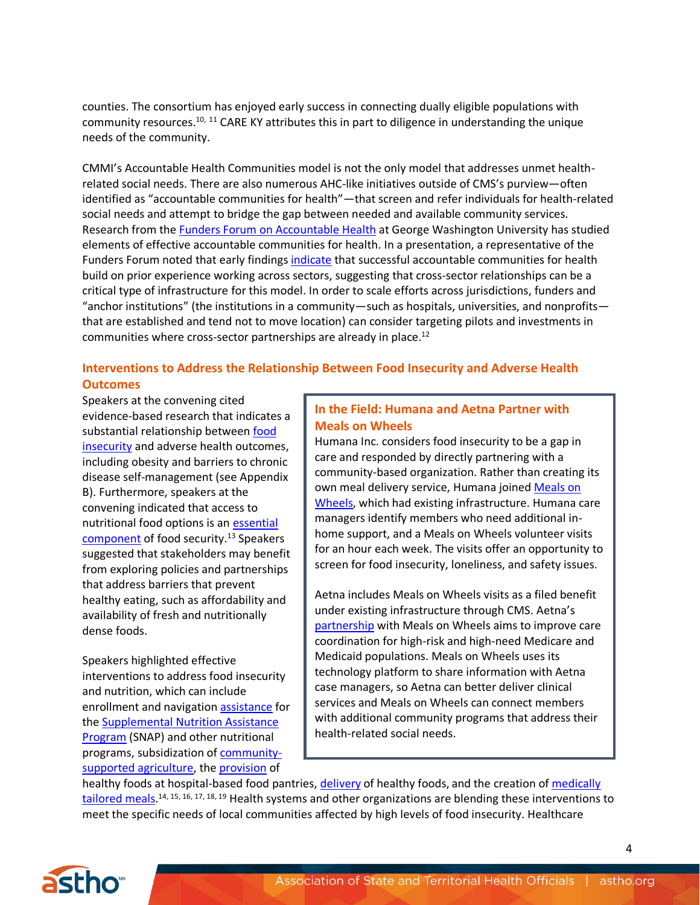counties. The consortium has enjoyed early success in connecting dually eligible populations with community resources.<sup>10, 11</sup> CARE KY attributes this in part to diligence in understanding the unique needs of the community.

CMMI's Accountable Health Communities model is not the only model that addresses unmet healthrelated social needs. There are also numerous AHC-like initiatives outside of CMS's purview—often identified as "accountable communities for health"—that screen and refer individuals for health-related social needs and attempt to bridge the gap between needed and available community services. Research from the [Funders Forum](http://accountablehealth.gwu.edu/) on Accountable Health at George Washington University has studied elements of effective accountable communities for health. In a presentation, a representative of the Funders Forum noted that early finding[s indicate](https://nam.edu/elements-of-accountable-communities-for-health-a-review-of-the-literature/) that successful accountable communities for health build on prior experience working across sectors, suggesting that cross-sector relationships can be a critical type of infrastructure for this model. In order to scale efforts across jurisdictions, funders and "anchor institutions" (the institutions in a community—such as hospitals, universities, and nonprofits that are established and tend not to move location) can consider targeting pilots and investments in communities where cross-sector partnerships are already in place.<sup>12</sup>

# <span id="page-3-0"></span>**Interventions to Address the Relationship Between Food Insecurity and Adverse Health Outcomes**

Speakers at the convening cited evidence-based research that indicates a substantial relationship between [food](#page-17-0)  [insecurity](#page-17-0) and adverse health outcomes, including obesity and barriers to chronic disease self-management (see Appendix B). Furthermore, speakers at the convening indicated that access to nutritional food options is an [essential](http://www.ifpri.org/topic/food-security)  [component](http://www.ifpri.org/topic/food-security) of food security.<sup>13</sup> Speakers suggested that stakeholders may benefit from exploring policies and partnerships that address barriers that prevent healthy eating, such as affordability and availability of fresh and nutritionally dense foods.

Speakers highlighted effective interventions to address food insecurity and nutrition, which can include enrollment and navigatio[n assistance](https://www.ncbi.nlm.nih.gov/pmc/articles/PMC5695644/) for the [Supplemental Nutrition Assistance](https://www.fns.usda.gov/snap/supplemental-nutrition-assistance-program)  [Program](https://www.fns.usda.gov/snap/supplemental-nutrition-assistance-program) (SNAP) and other nutritional programs, subsidization o[f community](https://www.tandfonline.com/doi/abs/10.1080/14735903.2016.1177866)[supported agriculture,](https://www.tandfonline.com/doi/abs/10.1080/14735903.2016.1177866) the [provision](http://www.hpoe.org/Reports-HPOE/2017/determinants-health-food-insecurity-role-of-hospitals.pdf) of

# **In the Field: Humana and Aetna Partner with Meals on Wheels**

Humana Inc. considers food insecurity to be a gap in care and responded by directly partnering with a community-based organization. Rather than creating its own meal delivery service, Humana joined [Meals on](https://press.humana.com/press-release/current-releases/humana-and-meals-wheels-america-team-provide-food-and-social-connecti)  [Wheels,](https://press.humana.com/press-release/current-releases/humana-and-meals-wheels-america-team-provide-food-and-social-connecti) which had existing infrastructure. Humana care managers identify members who need additional inhome support, and a Meals on Wheels volunteer visits for an hour each week. The visits offer an opportunity to screen for food insecurity, loneliness, and safety issues.

Aetna includes Meals on Wheels visits as a filed benefit under existing infrastructure through CMS. Aetna's [partnership](https://cvshealth.com/newsroom/press-releases/meals-wheels-america-and-aetna-form-innovative-collaboration-improve-senior) with Meals on Wheels aims to improve care coordination for high-risk and high-need Medicare and Medicaid populations. Meals on Wheels uses its technology platform to share information with Aetna case managers, so Aetna can better deliver clinical services and Meals on Wheels can connect members with additional community programs that address their health-related social needs.

healthy foods at hospital-based food pantries, [delivery](https://www.healthaffairs.org/doi/10.1377/hlthaff.2017.0999) of healthy foods, and the creation of medically [tailored meals.](https://jamanetwork.com/journals/jamainternalmedicine/fullarticle/2730768)<sup>14, 15, 16, 17, 18, 19</sup> Health systems and other organizations are blending these interventions to meet the specific needs of local communities affected by high levels of food insecurity. Healthcare

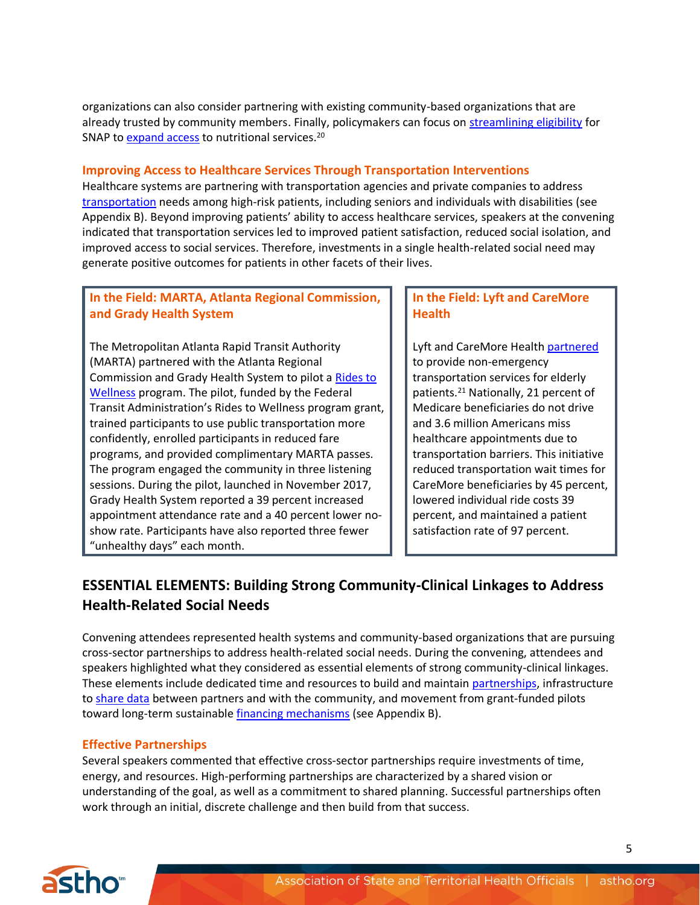organizations can also consider partnering with existing community-based organizations that are already trusted by community members. Finally, policymakers can focus on [streamlining eligibility](https://aspe.hhs.gov/report/examples-promising-practices-integrating-and-coordinating-eligibility-enrollment-and-retention-human-services-and-health-programs-under-affordable-care-act/1-streamlining-eligibility) for SNAP t[o expand access](https://www.cbpp.org/research/food-assistance/snaps-broad-based-categorical-eligibility-supports-working-families-and) to nutritional services.<sup>20</sup>

## <span id="page-4-0"></span>**Improving Access to Healthcare Services Through Transportation Interventions**

Healthcare systems are partnering with transportation agencies and private companies to address [transportation](#page-19-0) needs among high-risk patients, including seniors and individuals with disabilities (see Appendix B). Beyond improving patients' ability to access healthcare services, speakers at the convening indicated that transportation services led to improved patient satisfaction, reduced social isolation, and improved access to social services. Therefore, investments in a single health-related social need may generate positive outcomes for patients in other facets of their lives.

# **In the Field: MARTA, Atlanta Regional Commission, and Grady Health System**

The Metropolitan Atlanta Rapid Transit Authority (MARTA) partnered with the Atlanta Regional Commission and Grady Health System to pilot a Rides to [Wellness](https://www.empowerline.org/blog/rides-to-wellness-in-atlanta/) program. The pilot, funded by the Federal Transit Administration's Rides to Wellness program grant, trained participants to use public transportation more confidently, enrolled participants in reduced fare programs, and provided complimentary MARTA passes. The program engaged the community in three listening sessions. During the pilot, launched in November 2017, Grady Health System reported a 39 percent increased appointment attendance rate and a 40 percent lower noshow rate. Participants have also reported three fewer "unhealthy days" each month.

# **In the Field: Lyft and CareMore Health**

Lyft and CareMore Health [partnered](https://www.ajmc.com/focus-of-the-week/caremore-finds-success-using-lyft-to-transport-medicare-beneficiaries-to-appointments) to provide non-emergency transportation services for elderly patients.<sup>21</sup> Nationally, 21 percent of Medicare beneficiaries do not drive and 3.6 million Americans miss healthcare appointments due to transportation barriers. This initiative reduced transportation wait times for CareMore beneficiaries by 45 percent, lowered individual ride costs 39 percent, and maintained a patient satisfaction rate of 97 percent.

# <span id="page-4-1"></span>**ESSENTIAL ELEMENTS: Building Strong Community-Clinical Linkages to Address Health-Related Social Needs**

Convening attendees represented health systems and community-based organizations that are pursuing cross-sector partnerships to address health-related social needs. During the convening, attendees and speakers highlighted what they considered as essential elements of strong community-clinical linkages. These elements include dedicated time and resources to build and maintain [partnerships,](#page-18-0) infrastructure to [share data](#page-14-0) between partners and with the community, and movement from grant-funded pilots toward long-term sustainable *financing mechanisms* (see Appendix B).

# <span id="page-4-2"></span>**Effective Partnerships**

Several speakers commented that effective cross-sector partnerships require investments of time, energy, and resources. High-performing partnerships are characterized by a shared vision or understanding of the goal, as well as a commitment to shared planning. Successful partnerships often work through an initial, discrete challenge and then build from that success.

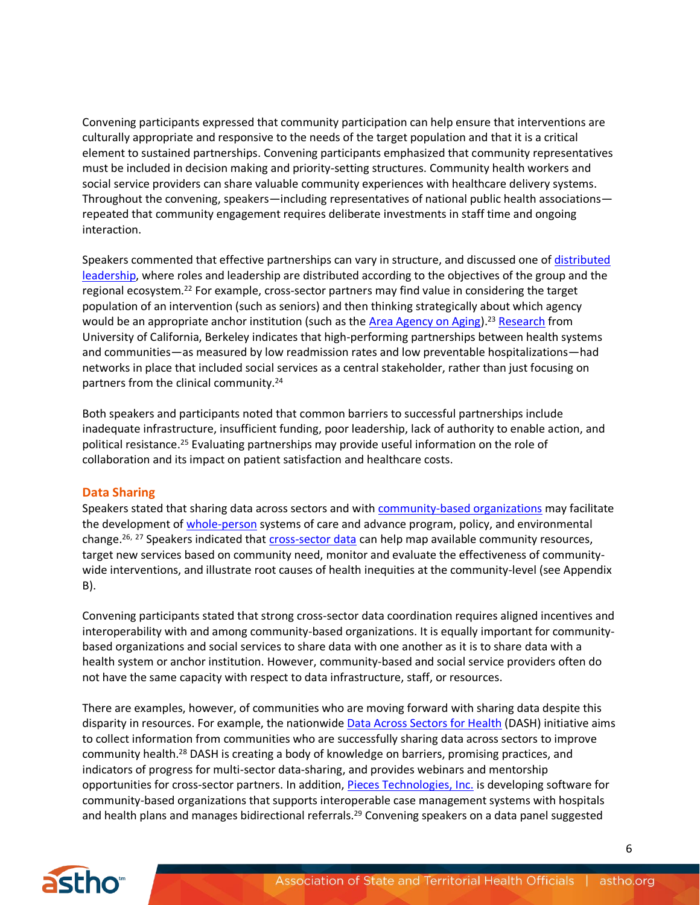Convening participants expressed that community participation can help ensure that interventions are culturally appropriate and responsive to the needs of the target population and that it is a critical element to sustained partnerships. Convening participants emphasized that community representatives must be included in decision making and priority-setting structures. Community health workers and social service providers can share valuable community experiences with healthcare delivery systems. Throughout the convening, speakers—including representatives of national public health associations repeated that community engagement requires deliberate investments in staff time and ongoing interaction.

Speakers commented that effective partnerships can vary in structure, and discussed one of [distributed](https://www.rethinkhealth.org/the-rethinkers-blog/distributing-leadership-to-transform-health-ecosystems/)  [leadership,](https://www.rethinkhealth.org/the-rethinkers-blog/distributing-leadership-to-transform-health-ecosystems/) where roles and leadership are distributed according to the objectives of the group and the regional ecosystem.<sup>22</sup> For example, cross-sector partners may find value in considering the target population of an intervention (such as seniors) and then thinking strategically about which agency would be an appropriate anchor institution (such as the [Area Agency on Aging\)](https://www.ncbi.nlm.nih.gov/pubmed/29309226).<sup>23</sup> [Research](https://www.ncbi.nlm.nih.gov/pubmed/28925041) from University of California, Berkeley indicates that high-performing partnerships between health systems and communities—as measured by low readmission rates and low preventable hospitalizations—had networks in place that included social services as a central stakeholder, rather than just focusing on partners from the clinical community.<sup>24</sup>

Both speakers and participants noted that common barriers to successful partnerships include inadequate infrastructure, insufficient funding, poor leadership, lack of authority to enable action, and political resistance.<sup>25</sup> Evaluating partnerships may provide useful information on the role of collaboration and its impact on patient satisfaction and healthcare costs.

## <span id="page-5-0"></span>**Data Sharing**

Speakers stated that sharing data across sectors and wit[h community-based organizations](https://www.academyhealth.org/publications/2019-04/community-based-organizations-are-sharing-data-across-sectors-improve-health) may facilitate the development of [whole-person](https://dashconnect.org/2017/09/12/issue-brief-coordinated-whole-person-care-that-addresses-social-determinants-of-health/) systems of care and advance program, policy, and environmental change.<sup>26, 27</sup> Speakers indicated that [cross-sector](#page-14-0) data can help map available community resources, target new services based on community need, monitor and evaluate the effectiveness of communitywide interventions, and illustrate root causes of health inequities at the community-level (see Appendix B).

Convening participants stated that strong cross-sector data coordination requires aligned incentives and interoperability with and among community-based organizations. It is equally important for communitybased organizations and social services to share data with one another as it is to share data with a health system or anchor institution. However, community-based and social service providers often do not have the same capacity with respect to data infrastructure, staff, or resources.

There are examples, however, of communities who are moving forward with sharing data despite this disparity in resources. For example, the nationwide [Data Across Sectors for Health](http://dashconnect.org/) (DASH) initiative aims to collect information from communities who are successfully sharing data across sectors to improve community health.<sup>28</sup> DASH is creating a body of knowledge on barriers, promising practices, and indicators of progress for multi-sector data-sharing, and provides webinars and mentorship opportunities for cross-sector partners. In addition, *Pieces Technologies*, Inc. is developing software for community-based organizations that supports interoperable case management systems with hospitals and health plans and manages bidirectional referrals.<sup>29</sup> Convening speakers on a data panel suggested

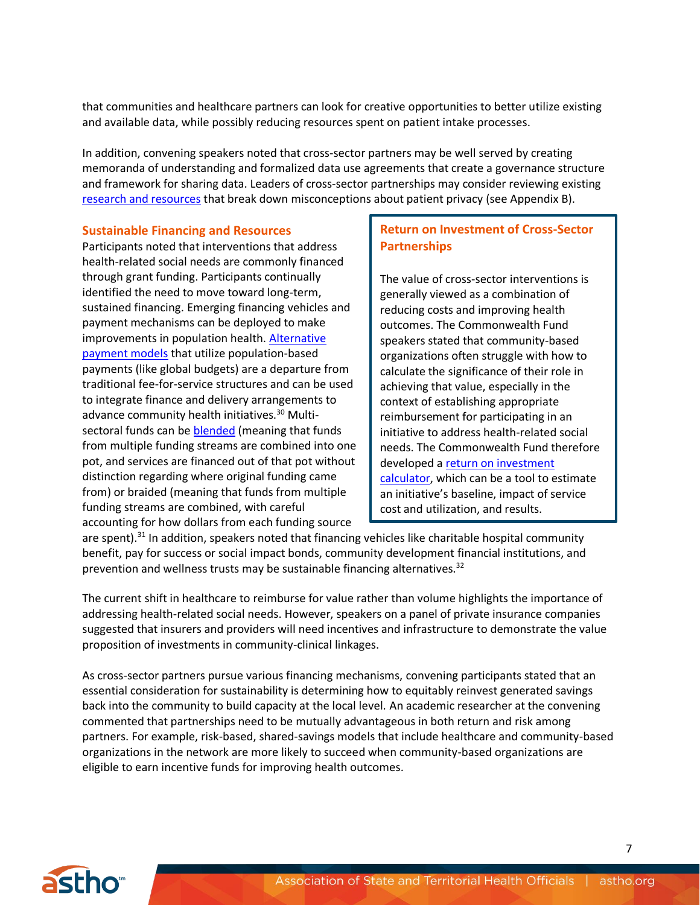that communities and healthcare partners can look for creative opportunities to better utilize existing and available data, while possibly reducing resources spent on patient intake processes.

In addition, convening speakers noted that cross-sector partners may be well served by creating memoranda of understanding and formalized data use agreements that create a governance structure and framework for sharing data. Leaders of cross-sector partnerships may consider reviewing existing [research and resources](#page-14-0) that break down misconceptions about patient privacy (see Appendix B).

## <span id="page-6-0"></span>**Sustainable Financing and Resources**

Participants noted that interventions that address health-related social needs are commonly financed through grant funding. Participants continually identified the need to move toward long-term, sustained financing. Emerging financing vehicles and payment mechanisms can be deployed to make improvements in population health. [Alternative](http://hcp-lan.org/workproducts/apm-refresh-whitepaper-final.pdf)  [payment models](http://hcp-lan.org/workproducts/apm-refresh-whitepaper-final.pdf) that utilize population-based payments (like global budgets) are a departure from traditional fee-for-service structures and can be used to integrate finance and delivery arrangements to advance community health initiatives.<sup>30</sup> Multisectoral funds can be **blended** (meaning that funds from multiple funding streams are combined into one pot, and services are financed out of that pot without distinction regarding where original funding came from) or braided (meaning that funds from multiple funding streams are combined, with careful accounting for how dollars from each funding source

# **Return on Investment of Cross-Sector Partnerships**

The value of cross-sector interventions is generally viewed as a combination of reducing costs and improving health outcomes. The Commonwealth Fund speakers stated that community-based organizations often struggle with how to calculate the significance of their role in achieving that value, especially in the context of establishing appropriate reimbursement for participating in an initiative to address health-related social needs. The Commonwealth Fund therefore developed [a return on investment](http://tools.commonwealthfund.org/roi-calculator) [calculator,](http://tools.commonwealthfund.org/roi-calculator) which can be a tool to estimate an initiative's baseline, impact of service cost and utilization, and results.

are spent).<sup>31</sup> In addition, speakers noted that financing vehicles like charitable hospital community benefit, pay for success or social impact bonds, community development financial institutions, and prevention and wellness trusts may be sustainable financing alternatives. $32$ 

The current shift in healthcare to reimburse for value rather than volume highlights the importance of addressing health-related social needs. However, speakers on a panel of private insurance companies suggested that insurers and providers will need incentives and infrastructure to demonstrate the value proposition of investments in community-clinical linkages.

As cross-sector partners pursue various financing mechanisms, convening participants stated that an essential consideration for sustainability is determining how to equitably reinvest generated savings back into the community to build capacity at the local level. An academic researcher at the convening commented that partnerships need to be mutually advantageous in both return and risk among partners. For example, risk-based, shared-savings models that include healthcare and community-based organizations in the network are more likely to succeed when community-based organizations are eligible to earn incentive funds for improving health outcomes.

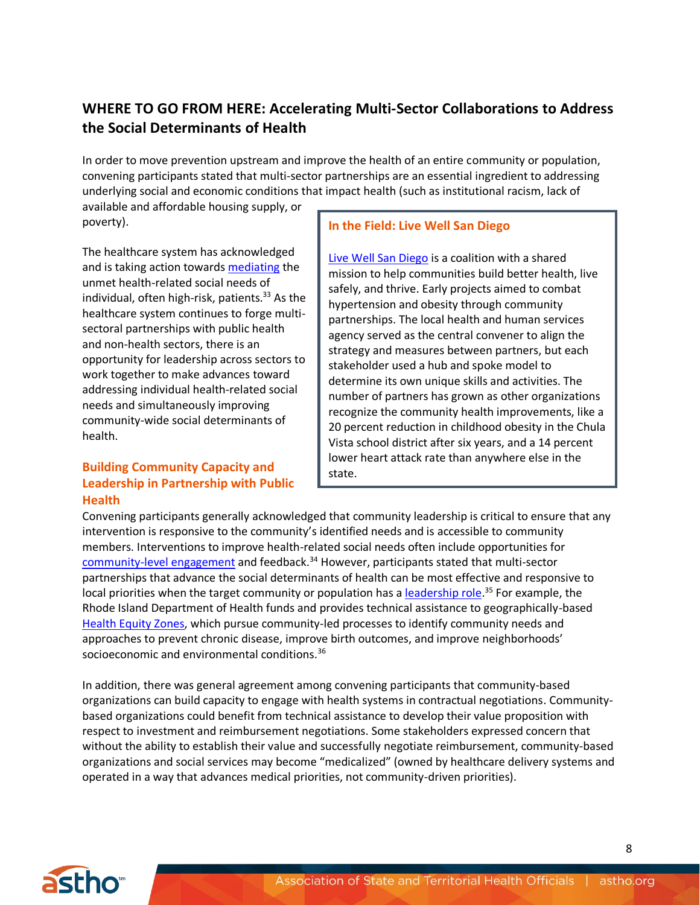# <span id="page-7-0"></span>**WHERE TO GO FROM HERE: Accelerating Multi-Sector Collaborations to Address the Social Determinants of Health**

In order to move prevention upstream and improve the health of an entire community or population, convening participants stated that multi-sector partnerships are an essential ingredient to addressing underlying social and economic conditions that impact health (such as institutional racism, lack of

available and affordable housing supply, or poverty).

The healthcare system has acknowledged and is taking action towards [mediating](https://www.healthaffairs.org/do/10.1377/hblog20190115.234942/full/) the unmet health-related social needs of individual, often high-risk, patients. $33$  As the healthcare system continues to forge multisectoral partnerships with public health and non-health sectors, there is an opportunity for leadership across sectors to work together to make advances toward addressing individual health-related social needs and simultaneously improving community-wide social determinants of health.

# <span id="page-7-1"></span>**Building Community Capacity and Leadership in Partnership with Public Health**

# **In the Field: Live Well San Diego**

[Live Well San Diego](http://www.livewellsd.org/) is a coalition with a shared mission to help communities build better health, live safely, and thrive. Early projects aimed to combat hypertension and obesity through community partnerships. The local health and human services agency served as the central convener to align the strategy and measures between partners, but each stakeholder used a hub and spoke model to determine its own unique skills and activities. The number of partners has grown as other organizations recognize the community health improvements, like a 20 percent reduction in childhood obesity in the Chula Vista school district after six years, and a 14 percent lower heart attack rate than anywhere else in the state.

Convening participants generally acknowledged that community leadership is critical to ensure that any intervention is responsive to the community's identified needs and is accessible to community members. Interventions to improve health-related social needs often include opportunities for [community-level engagement](https://www.commonwealthfund.org/publications/newsletter-article/improving-population-health-through-communitywide-partnerships) and feedback.<sup>34</sup> However, participants stated that multi-sector partnerships that advance the social determinants of health can be most effective and responsive to local priorities when the target community or population has a [leadership role.](https://www.ncbi.nlm.nih.gov/pmc/articles/PMC5048675/)<sup>35</sup> For example, the Rhode Island Department of Health funds and provides technical assistance to geographically-based [Health Equity Zones,](http://www.health.ri.gov/programs/detail.php?pgm_id=1108) which pursue community-led processes to identify community needs and approaches to prevent chronic disease, improve birth outcomes, and improve neighborhoods' socioeconomic and environmental conditions.<sup>36</sup>

In addition, there was general agreement among convening participants that community-based organizations can build capacity to engage with health systems in contractual negotiations. Communitybased organizations could benefit from technical assistance to develop their value proposition with respect to investment and reimbursement negotiations. Some stakeholders expressed concern that without the ability to establish their value and successfully negotiate reimbursement, community-based organizations and social services may become "medicalized" (owned by healthcare delivery systems and operated in a way that advances medical priorities, not community-driven priorities).

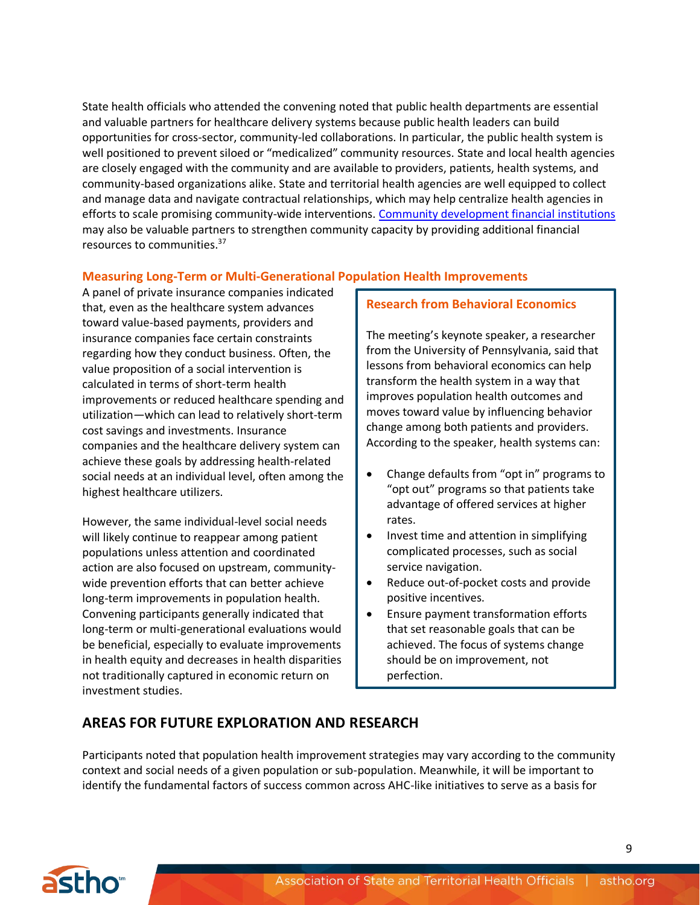State health officials who attended the convening noted that public health departments are essential and valuable partners for healthcare delivery systems because public health leaders can build opportunities for cross-sector, community-led collaborations. In particular, the public health system is well positioned to prevent siloed or "medicalized" community resources. State and local health agencies are closely engaged with the community and are available to providers, patients, health systems, and community-based organizations alike. State and territorial health agencies are well equipped to collect and manage data and navigate contractual relationships, which may help centralize health agencies in efforts to scale promising community-wide interventions. [Community development financial institutions](https://www.pcdc.org/pcdc-resources/capacity-building-resources/) may also be valuable partners to strengthen community capacity by providing additional financial resources to communities.<sup>37</sup>

# <span id="page-8-0"></span>**Measuring Long-Term or Multi-Generational Population Health Improvements**

A panel of private insurance companies indicated that, even as the healthcare system advances toward value-based payments, providers and insurance companies face certain constraints regarding how they conduct business. Often, the value proposition of a social intervention is calculated in terms of short-term health improvements or reduced healthcare spending and utilization—which can lead to relatively short-term cost savings and investments. Insurance companies and the healthcare delivery system can achieve these goals by addressing health-related social needs at an individual level, often among the highest healthcare utilizers.

However, the same individual-level social needs will likely continue to reappear among patient populations unless attention and coordinated action are also focused on upstream, communitywide prevention efforts that can better achieve long-term improvements in population health. Convening participants generally indicated that long-term or multi-generational evaluations would be beneficial, especially to evaluate improvements in health equity and decreases in health disparities not traditionally captured in economic return on investment studies.

# **Research from Behavioral Economics**

The meeting's keynote speaker, a researcher from the University of Pennsylvania, said that lessons from behavioral economics can help transform the health system in a way that improves population health outcomes and moves toward value by influencing behavior change among both patients and providers. According to the speaker, health systems can:

- Change defaults from "opt in" programs to "opt out" programs so that patients take advantage of offered services at higher rates.
- Invest time and attention in simplifying complicated processes, such as social service navigation.
- Reduce out-of-pocket costs and provide positive incentives.
- Ensure payment transformation efforts that set reasonable goals that can be achieved. The focus of systems change should be on improvement, not perfection.

# <span id="page-8-1"></span>**AREAS FOR FUTURE EXPLORATION AND RESEARCH**

Participants noted that population health improvement strategies may vary according to the community context and social needs of a given population or sub-population. Meanwhile, it will be important to identify the fundamental factors of success common across AHC-like initiatives to serve as a basis for

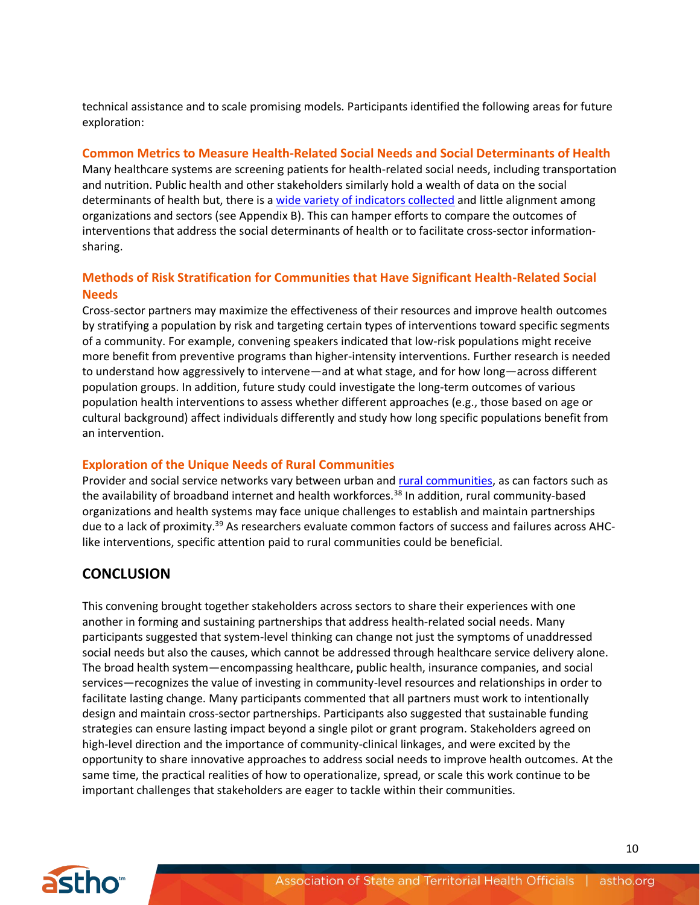technical assistance and to scale promising models. Participants identified the following areas for future exploration:

## <span id="page-9-0"></span>**Common Metrics to Measure Health-Related Social Needs and Social Determinants of Health**

Many healthcare systems are screening patients for health-related social needs, including transportation and nutrition. Public health and other stakeholders similarly hold a wealth of data on the social determinants of health but, there is a [wide variety of indicators collected](#page-15-0) and little alignment among organizations and sectors (see Appendix B). This can hamper efforts to compare the outcomes of interventions that address the social determinants of health or to facilitate cross-sector informationsharing.

# <span id="page-9-1"></span>**Methods of Risk Stratification for Communities that Have Significant Health-Related Social Needs**

Cross-sector partners may maximize the effectiveness of their resources and improve health outcomes by stratifying a population by risk and targeting certain types of interventions toward specific segments of a community. For example, convening speakers indicated that low-risk populations might receive more benefit from preventive programs than higher-intensity interventions. Further research is needed to understand how aggressively to intervene—and at what stage, and for how long—across different population groups. In addition, future study could investigate the long-term outcomes of various population health interventions to assess whether different approaches (e.g., those based on age or cultural background) affect individuals differently and study how long specific populations benefit from an intervention.

# <span id="page-9-2"></span>**Exploration of the Unique Needs of Rural Communities**

Provider and social service networks vary between urban and [rural communities,](https://www.ruralhealthinfo.org/topics/healthcare-access) as can factors such as the availability of broadband internet and health workforces.<sup>38</sup> In addition, rural community-based organizations and health systems may face unique challenges to establish and maintain partnerships due to a lack of proximity.<sup>39</sup> As researchers evaluate common factors of success and failures across AHClike interventions, specific attention paid to rural communities could be beneficial.

# <span id="page-9-3"></span>**CONCLUSION**

This convening brought together stakeholders across sectors to share their experiences with one another in forming and sustaining partnerships that address health-related social needs. Many participants suggested that system-level thinking can change not just the symptoms of unaddressed social needs but also the causes, which cannot be addressed through healthcare service delivery alone. The broad health system—encompassing healthcare, public health, insurance companies, and social services—recognizes the value of investing in community-level resources and relationships in order to facilitate lasting change. Many participants commented that all partners must work to intentionally design and maintain cross-sector partnerships. Participants also suggested that sustainable funding strategies can ensure lasting impact beyond a single pilot or grant program. Stakeholders agreed on high-level direction and the importance of community-clinical linkages, and were excited by the opportunity to share innovative approaches to address social needs to improve health outcomes. At the same time, the practical realities of how to operationalize, spread, or scale this work continue to be important challenges that stakeholders are eager to tackle within their communities.

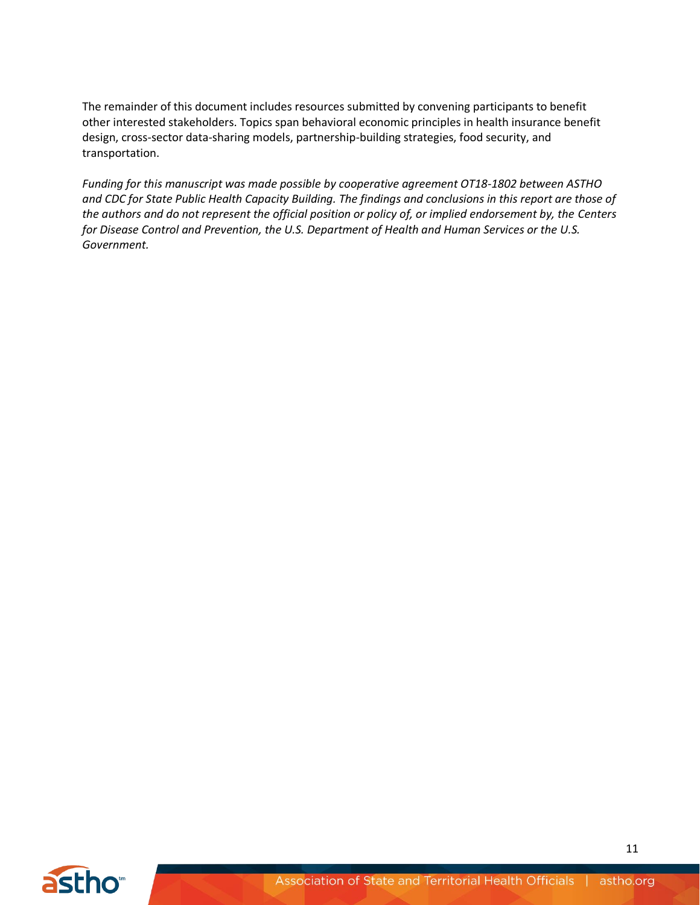The remainder of this document includes resources submitted by convening participants to benefit other interested stakeholders. Topics span behavioral economic principles in health insurance benefit design, cross-sector data-sharing models, partnership-building strategies, food security, and transportation.

<span id="page-10-0"></span>*Funding for this manuscript was made possible by cooperative agreement OT18-1802 between ASTHO and CDC for State Public Health Capacity Building. The findings and conclusions in this report are those of the authors and do not represent the official position or policy of, or implied endorsement by, the Centers for Disease Control and Prevention, the U.S. Department of Health and Human Services or the U.S. Government.*

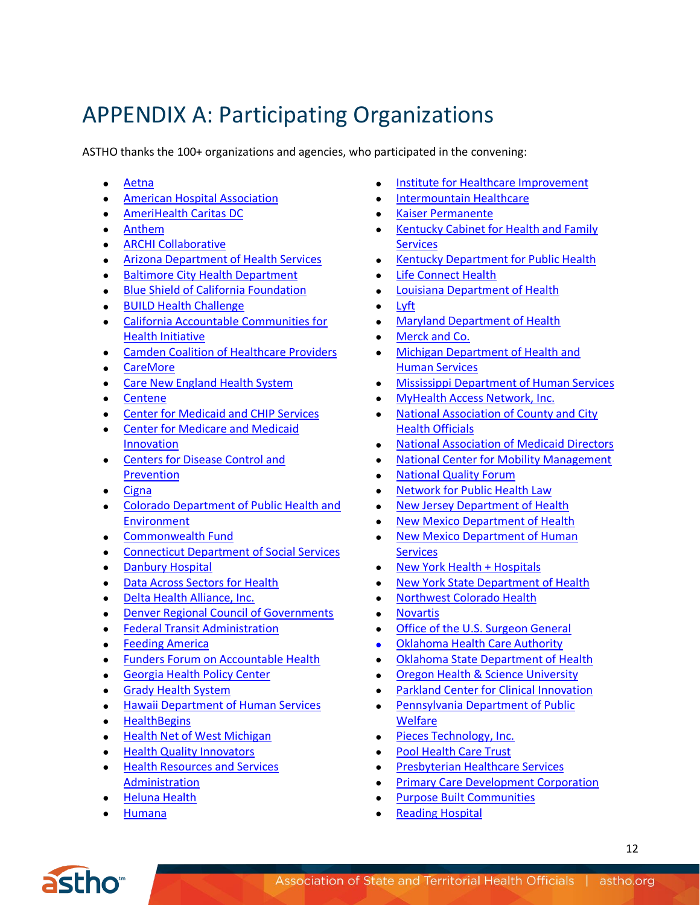# APPENDIX A: Participating Organizations

ASTHO thanks the 100+ organizations and agencies, who participated in the convening:

- [Aetna](https://www.aetna.com/)
- [American Hospital Association](https://www.aha.org/)
- [AmeriHealth Caritas DC](https://www.amerihealthcaritasdc.com/)
- [Anthem](https://www.anthem.com/)
- [ARCHI Collaborative](http://archicollaborative.org/)
- [Arizona Department of Health Services](https://azdhs.gov/)
- [Baltimore City Health Department](https://health.baltimorecity.gov/)
- [Blue Shield of California Foundation](https://blueshieldcafoundation.org/)
- [BUILD Health Challenge](https://buildhealthchallenge.org/)
- [California Accountable Communities for](https://cachi.org/)  [Health Initiative](https://cachi.org/)
- [Camden Coalition of Healthcare Providers](https://www.camdenhealth.org/)
- [CareMore](https://www.caremore.com/)
- [Care New England Health System](http://www.carenewengland.org/)
- [Centene](https://www.centene.com/)
- [Center for Medicaid and CHIP Services](https://www.medicaid.gov/)
- [Center for Medicare and Medicaid](https://innovation.cms.gov/)  [Innovation](https://innovation.cms.gov/)
- [Centers for Disease Control and](https://www.cdc.gov/)  **[Prevention](https://www.cdc.gov/)**
- [Cigna](https://www.cigna.com/)
- [Colorado Department of Public Health and](https://www.colorado.gov/cdphe)  [Environment](https://www.colorado.gov/cdphe)
- [Commonwealth Fund](https://www.commonwealthfund.org/)
- [Connecticut Department of Social Services](https://portal.ct.gov/DSS)
- [Danbury Hospital](https://www.danburyhospital.org/)
- [Data Across Sectors for Health](https://dashconnect.org/)
- [Delta Health Alliance, Inc.](https://deltahealthalliance.org/)
- [Denver Regional Council of Governments](https://drcog.org/)
- [Federal Transit Administration](https://www.transit.dot.gov/)
- [Feeding America](https://www.feedingamerica.org/)
- [Funders Forum on Accountable Health](http://accountablehealth.gwu.edu/)
- [Georgia Health Policy Center](https://ghpc.gsu.edu/)
- [Grady Health System](https://www.gradyhealth.org/)
- [Hawaii Department of Human Services](http://humanservices.hawaii.gov/)
- [HealthBegins](https://www.healthbegins.org/)
- [Health Net of West Michigan](https://healthnetwm.org/)
- [Health Quality Innovators](http://www.hqi.solutions/)
- [Health Resources and Services](https://www.hrsa.gov/)  [Administration](https://www.hrsa.gov/)
- [Heluna Health](https://www.helunahealth.org/)
- [Humana](https://www.humana.com/)
- **[Institute for Healthcare Improvement](http://www.ihi.org/)**
- [Intermountain Healthcare](https://intermountainhealthcare.org/)
- [Kaiser Permanente](https://healthy.kaiserpermanente.org/)
- [Kentucky Cabinet for Health and Family](https://chfs.ky.gov/Pages/index.aspx)  **[Services](https://chfs.ky.gov/Pages/index.aspx)**
- [Kentucky Department for Public Health](https://chfs.ky.gov/agencies/dph/Pages/default.aspx)
- [Life Connect Health](https://www.lifeconnecthealth.com/)
- [Louisiana Department of Health](http://www.ldh.la.gov/)
- [Lyft](https://www.lyft.com/)
- [Maryland Department of Health](https://health.maryland.gov/pages/index.aspx)
- [Merck and Co.](https://www.merck.com/index.html)
- [Michigan Department of Health and](https://www.michigan.gov/mdhhs)  [Human Services](https://www.michigan.gov/mdhhs)
- [Mississippi Department of Human Services](https://www.mdhs.ms.gov/)
- [MyHealth Access Network, Inc.](https://myhealthaccess.net/)
- [National Association of County and City](https://www.naccho.org/)  [Health Officials](https://www.naccho.org/)
- [National Association of Medicaid Directors](http://medicaiddirectors.org/)
- [National Center for Mobility Management](https://nationalcenterformobilitymanagement.org/)
- [National Quality Forum](https://www.qualityforum.org/Home.aspx)
- Network [for Public Health Law](https://www.networkforphl.org/)
- [New Jersey Department of Health](https://www.nj.gov/health/)
- [New Mexico Department of Health](https://nmhealth.org/)
- [New Mexico Department of Human](https://www.hsd.state.nm.us/)  **[Services](https://www.hsd.state.nm.us/)**
- [New York Health + Hospitals](https://www.nychealthandhospitals.org/)
- [New York State Department of Health](https://www.health.ny.gov/)
- [Northwest Colorado Health](https://northwestcoloradohealth.org/)
- [Novartis](https://www.novartis.com/)
- [Office of the U.S. Surgeon General](https://www.hhs.gov/surgeongeneral/index.html)
- [Oklahoma Health Care Authority](http://www.okhca.org/)
- Oklahoma State [Department of Health](https://www.ok.gov/health/)
- [Oregon Health & Science University](https://www.ohsu.edu/)
- [Parkland Center for Clinical Innovation](https://pccinnovation.org/)
- [Pennsylvania Department of Public](http://www.dhs.pa.gov/)  **[Welfare](http://www.dhs.pa.gov/)**
- [Pieces Technology, Inc.](https://piecestech.com/)
- [Pool Health Care Trust](https://pooltrust.org/)
- [Presbyterian Healthcare Services](https://www.phs.org/Pages/default.aspx)
- [Primary Care Development Corporation](https://www.pcdc.org/)
- [Purpose Built Communities](https://purposebuiltcommunities.org/)
- **[Reading Hospital](https://reading.towerhealth.org/)**

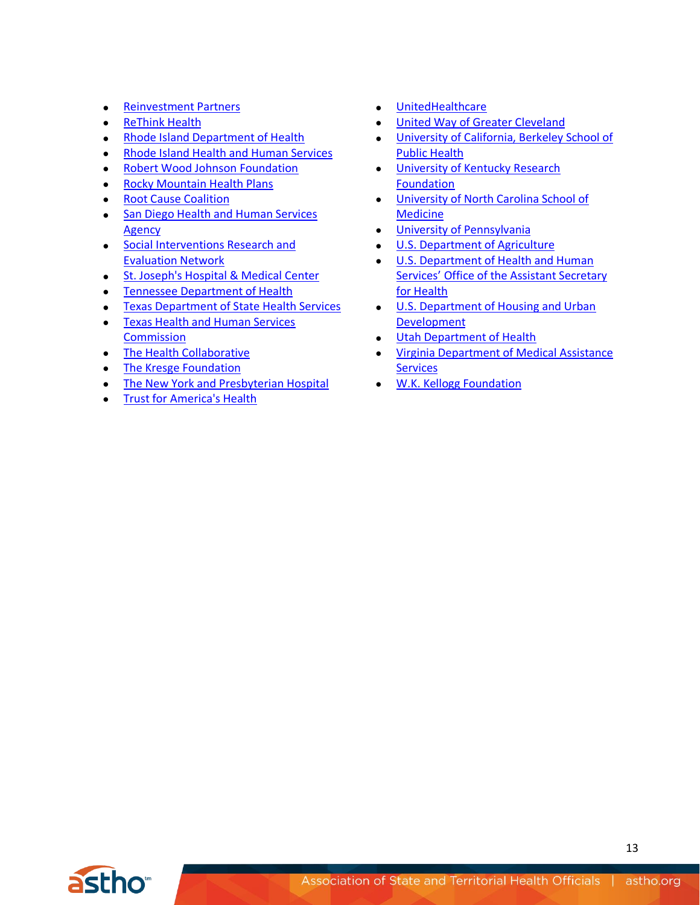- [Reinvestment Partners](https://reinvestmentpartners.org/)
- [ReThink Health](https://www.rethinkhealth.org/)
- [Rhode Island Department of Health](http://www.health.ri.gov/)
- [Rhode Island Health and Human Services](http://www.dhs.ri.gov/Programs/NewSystemUpdates.php)
- [Robert Wood Johnson Foundation](https://www.rwjf.org/)
- [Rocky Mountain Health Plans](https://www.rmhp.org/)
- [Root Cause Coalition](https://www.rootcausecoalition.org/)
- San Diego Health and Human Services [Agency](https://www.sandiegocounty.gov/hhsa/)
- Social Interventions Research and [Evaluation Network](https://sirenetwork.ucsf.edu/)
- St. Joseph's [Hospital & Medical Center](https://www.dignityhealth.org/arizona/locations/stjosephs)
- [Tennessee Department of Health](https://www.tn.gov/health.html)
- [Texas Department of State Health Services](https://dshs.texas.gov/)
- [Texas Health and Human Services](https://hhs.texas.gov/)  **[Commission](https://hhs.texas.gov/)**
- [The Health Collaborative](https://healthcollab.org/)
- [The Kresge Foundation](https://kresge.org/)
- [The New York and Presbyterian Hospital](https://www.nyp.org/)
- [Trust for America's Health](https://www.tfah.org/)
- [UnitedHealthcare](https://www.uhc.com/)
- [United Way of Greater Cleveland](https://www.unitedwaycleveland.org/)
- [University of California,](https://publichealth.berkeley.edu/) Berkeley School of [Public Health](https://publichealth.berkeley.edu/)
- **University of Kentucky Research** [Foundation](https://www.research.uky.edu/research-administrative-fiscal-affairs/university-kentucky-research-foundation)
- [University of North Carolina School of](https://www.med.unc.edu/)  **[Medicine](https://www.med.unc.edu/)**
- [University of Pennsylvania](https://www.upenn.edu/)
- **[U.S. Department of Agriculture](https://www.usda.gov/)**
- [U.S. Department of Health and Human](https://www.hhs.gov/ash/index.html)  Services' [Office of the Assistant Secretary](https://www.hhs.gov/ash/index.html)  [for Health](https://www.hhs.gov/ash/index.html)
- [U.S. Department of Housing and Urban](https://www.hud.gov/)  [Development](https://www.hud.gov/)
- [Utah Department of Health](https://health.utah.gov/)
- **Virginia Department of Medical Assistance [Services](http://www.dmas.virginia.gov/#/index)**
- [W.K. Kellogg Foundation](https://www.wkkf.org/)

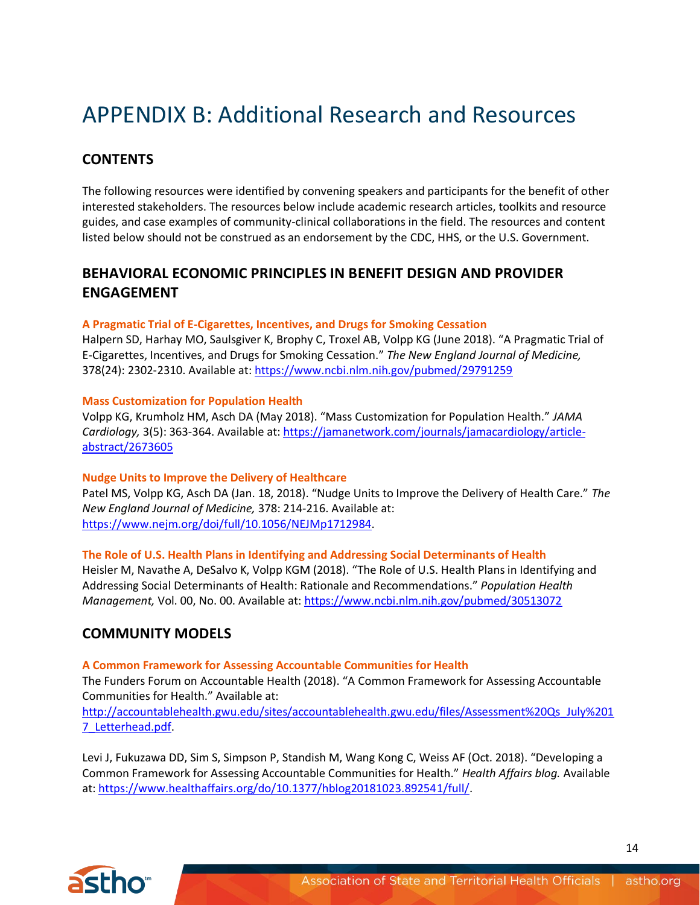# <span id="page-13-0"></span>APPENDIX B: Additional Research and Resources

# **CONTENTS**

The following resources were identified by convening speakers and participants for the benefit of other interested stakeholders. The resources below include academic research articles, toolkits and resource guides, and case examples of community-clinical collaborations in the field. The resources and content listed below should not be construed as an endorsement by the CDC, HHS, or the U.S. Government.

# **BEHAVIORAL ECONOMIC PRINCIPLES IN BENEFIT DESIGN AND PROVIDER ENGAGEMENT**

#### **A Pragmatic Trial of E-Cigarettes, Incentives, and Drugs for Smoking Cessation**

Halpern SD, Harhay MO, Saulsgiver K, Brophy C, Troxel AB, Volpp KG (June 2018). "A Pragmatic Trial of E-Cigarettes, Incentives, and Drugs for Smoking Cessation." *The New England Journal of Medicine,*  378(24): 2302-2310. Available at:<https://www.ncbi.nlm.nih.gov/pubmed/29791259>

#### **Mass Customization for Population Health**

Volpp KG, Krumholz HM, Asch DA (May 2018). "Mass Customization for Population Health." *JAMA Cardiology,* 3(5): 363-364. Available at: [https://jamanetwork.com/journals/jamacardiology/article](https://jamanetwork.com/journals/jamacardiology/article-abstract/2673605)[abstract/2673605](https://jamanetwork.com/journals/jamacardiology/article-abstract/2673605)

#### **Nudge Units to Improve the Delivery of Healthcare**

Patel MS, Volpp KG, Asch DA (Jan. 18, 2018). "Nudge Units to Improve the Delivery of Health Care." *The New England Journal of Medicine,* 378: 214-216. Available at: [https://www.nejm.org/doi/full/10.1056/NEJMp1712984.](https://www.nejm.org/doi/full/10.1056/NEJMp1712984)

#### **The Role of U.S. Health Plans in Identifying and Addressing Social Determinants of Health**

Heisler M, Navathe A, DeSalvo K, Volpp KGM (2018). "The Role of U.S. Health Plans in Identifying and Addressing Social Determinants of Health: Rationale and Recommendations." *Population Health Management,* Vol. 00, No. 00. Available at:<https://www.ncbi.nlm.nih.gov/pubmed/30513072>

# **COMMUNITY MODELS**

#### **A Common Framework for Assessing Accountable Communities for Health**

The Funders Forum on Accountable Health (2018). "A Common Framework for Assessing Accountable Communities for Health." Available at:

[http://accountablehealth.gwu.edu/sites/accountablehealth.gwu.edu/files/Assessment%20Qs\\_July%201](http://accountablehealth.gwu.edu/sites/accountablehealth.gwu.edu/files/Assessment%20Qs_July%2017_Letterhead.pdf) [7\\_Letterhead.pdf.](http://accountablehealth.gwu.edu/sites/accountablehealth.gwu.edu/files/Assessment%20Qs_July%2017_Letterhead.pdf)

Levi J, Fukuzawa DD, Sim S, Simpson P, Standish M, Wang Kong C, Weiss AF (Oct. 2018). "Developing a Common Framework for Assessing Accountable Communities for Health." *Health Affairs blog.* Available at: [https://www.healthaffairs.org/do/10.1377/hblog20181023.892541/full/.](https://www.healthaffairs.org/do/10.1377/hblog20181023.892541/full/)

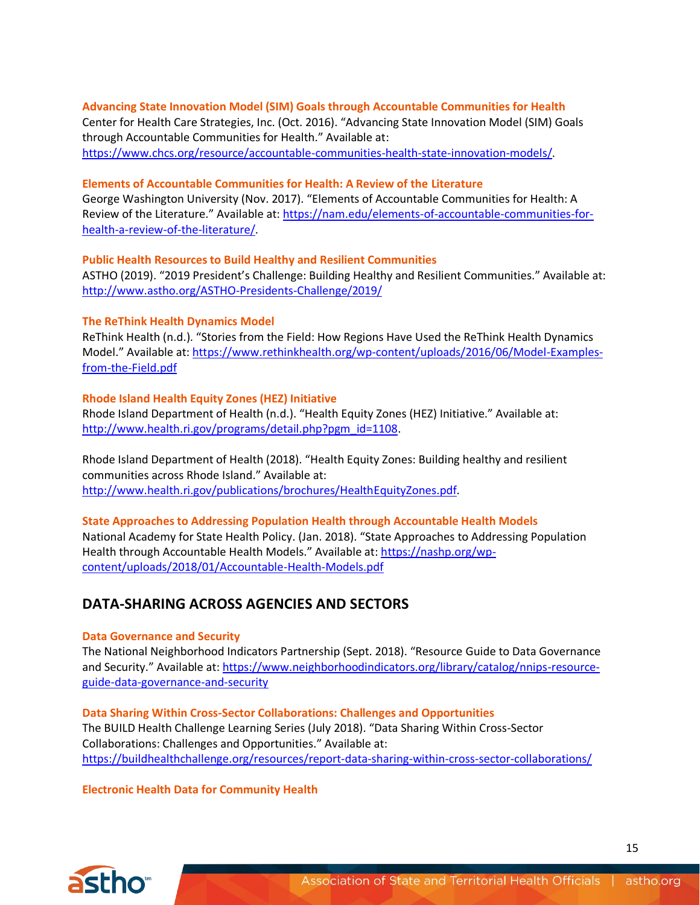#### **Advancing State Innovation Model (SIM) Goals through Accountable Communities for Health**

Center for Health Care Strategies, Inc. (Oct. 2016). "Advancing State Innovation Model (SIM) Goals through Accountable Communities for Health." Available at:

[https://www.chcs.org/resource/accountable-communities-health-state-innovation-models/.](https://www.chcs.org/resource/accountable-communities-health-state-innovation-models/)

#### **Elements of Accountable Communities for Health: A Review of the Literature**

George Washington University (Nov. 2017). "Elements of Accountable Communities for Health: A Review of the Literature." Available at: [https://nam.edu/elements-of-accountable-communities-for](https://nam.edu/elements-of-accountable-communities-for-health-a-review-of-the-literature/)[health-a-review-of-the-literature/.](https://nam.edu/elements-of-accountable-communities-for-health-a-review-of-the-literature/)

#### **Public Health Resources to Build Healthy and Resilient Communities**

ASTHO (2019). "2019 President's Challenge: Building Healthy and Resilient Communities." Available at: <http://www.astho.org/ASTHO-Presidents-Challenge/2019/>

#### **The ReThink Health Dynamics Model**

ReThink Health (n.d.). "Stories from the Field: How Regions Have Used the ReThink Health Dynamics Model." Available at: [https://www.rethinkhealth.org/wp-content/uploads/2016/06/Model-Examples](https://www.rethinkhealth.org/wp-content/uploads/2016/06/Model-Examples-from-the-Field.pdf)[from-the-Field.pdf](https://www.rethinkhealth.org/wp-content/uploads/2016/06/Model-Examples-from-the-Field.pdf)

#### **Rhode Island Health Equity Zones (HEZ) Initiative**

Rhode Island Department of Health (n.d.). "Health Equity Zones (HEZ) Initiative." Available at: [http://www.health.ri.gov/programs/detail.php?pgm\\_id=1108.](http://www.health.ri.gov/programs/detail.php?pgm_id=1108)

Rhode Island Department of Health (2018). "Health Equity Zones: Building healthy and resilient communities across Rhode Island." Available at: [http://www.health.ri.gov/publications/brochures/HealthEquityZones.pdf.](http://www.health.ri.gov/publications/brochures/HealthEquityZones.pdf)

#### **State Approaches to Addressing Population Health through Accountable Health Models**

National Academy for State Health Policy. (Jan. 2018). "State Approaches to Addressing Population Health through Accountable Health Models." Available at: [https://nashp.org/wp](https://nashp.org/wp-content/uploads/2018/01/Accountable-Health-Models.pdf)[content/uploads/2018/01/Accountable-Health-Models.pdf](https://nashp.org/wp-content/uploads/2018/01/Accountable-Health-Models.pdf)

# <span id="page-14-0"></span>**DATA-SHARING ACROSS AGENCIES AND SECTORS**

#### **Data Governance and Security**

The National Neighborhood Indicators Partnership (Sept. 2018). "Resource Guide to Data Governance and Security." Available at: [https://www.neighborhoodindicators.org/library/catalog/nnips-resource](https://www.neighborhoodindicators.org/library/catalog/nnips-resource-guide-data-governance-and-security)[guide-data-governance-and-security](https://www.neighborhoodindicators.org/library/catalog/nnips-resource-guide-data-governance-and-security)

**Data Sharing Within Cross-Sector Collaborations: Challenges and Opportunities** The BUILD Health Challenge Learning Series (July 2018). "Data Sharing Within Cross-Sector Collaborations: Challenges and Opportunities." Available at: <https://buildhealthchallenge.org/resources/report-data-sharing-within-cross-sector-collaborations/>

#### **Electronic Health Data for Community Health**

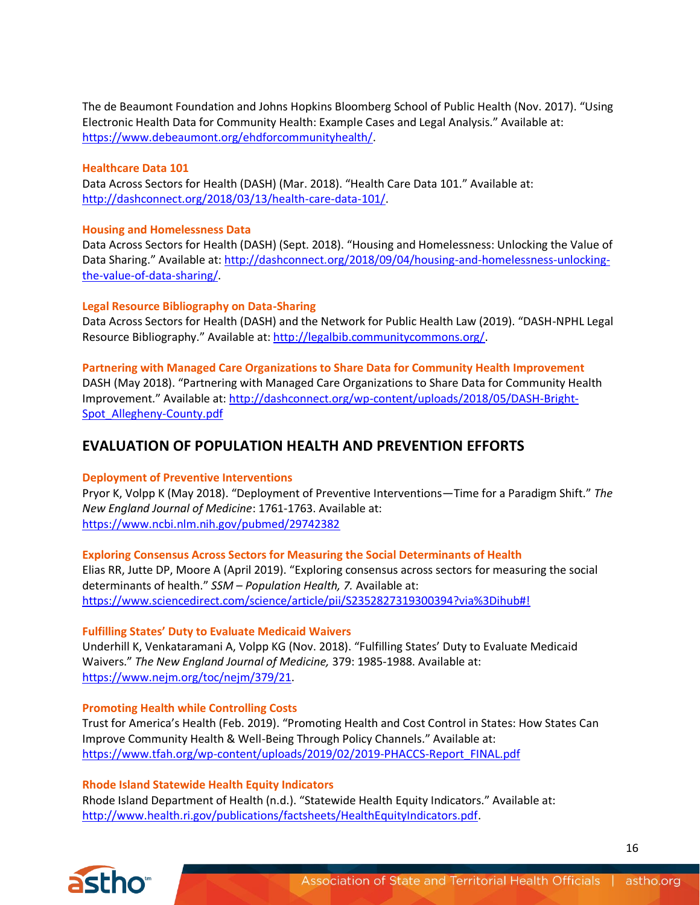The de Beaumont Foundation and Johns Hopkins Bloomberg School of Public Health (Nov. 2017). "Using Electronic Health Data for Community Health: Example Cases and Legal Analysis." Available at: [https://www.debeaumont.org/ehdforcommunityhealth/.](https://www.debeaumont.org/ehdforcommunityhealth/)

#### **Healthcare Data 101**

Data Across Sectors for Health (DASH) (Mar. 2018). "Health Care Data 101." Available at: [http://dashconnect.org/2018/03/13/health-care-data-101/.](http://dashconnect.org/2018/03/13/health-care-data-101/)

#### **Housing and Homelessness Data**

Data Across Sectors for Health (DASH) (Sept. 2018). "Housing and Homelessness: Unlocking the Value of Data Sharing." Available at: [http://dashconnect.org/2018/09/04/housing-and-homelessness-unlocking](http://dashconnect.org/2018/09/04/housing-and-homelessness-unlocking-the-value-of-data-sharing/)[the-value-of-data-sharing/.](http://dashconnect.org/2018/09/04/housing-and-homelessness-unlocking-the-value-of-data-sharing/)

#### **Legal Resource Bibliography on Data-Sharing**

Data Across Sectors for Health (DASH) and the Network for Public Health Law (2019). "DASH-NPHL Legal Resource Bibliography." Available at: [http://legalbib.communitycommons.org/.](http://legalbib.communitycommons.org/)

**Partnering with Managed Care Organizations to Share Data for Community Health Improvement** DASH (May 2018). "Partnering with Managed Care Organizations to Share Data for Community Health Improvement." Available at: [http://dashconnect.org/wp-content/uploads/2018/05/DASH-Bright-](http://dashconnect.org/wp-content/uploads/2018/05/DASH-Bright-Spot_Allegheny-County.pdf)[Spot\\_Allegheny-County.pdf](http://dashconnect.org/wp-content/uploads/2018/05/DASH-Bright-Spot_Allegheny-County.pdf)

# <span id="page-15-0"></span>**EVALUATION OF POPULATION HEALTH AND PREVENTION EFFORTS**

#### **Deployment of Preventive Interventions**

Pryor K, Volpp K (May 2018). "Deployment of Preventive Interventions—Time for a Paradigm Shift." *The New England Journal of Medicine*: 1761-1763. Available at: <https://www.ncbi.nlm.nih.gov/pubmed/29742382>

#### **Exploring Consensus Across Sectors for Measuring the Social Determinants of Health**

Elias RR, Jutte DP, Moore A (April 2019). "Exploring consensus across sectors for measuring the social determinants of health." *SSM – Population Health, 7.* Available at: <https://www.sciencedirect.com/science/article/pii/S2352827319300394?via%3Dihub#!>

#### **Fulfilling States' Duty to Evaluate Medicaid Waivers**

Underhill K, Venkataramani A, Volpp KG (Nov. 2018). "Fulfilling States' Duty to Evaluate Medicaid Waivers." *The New England Journal of Medicine,* 379: 1985-1988. Available at: [https://www.nejm.org/toc/nejm/379/21.](https://www.nejm.org/toc/nejm/379/21)

#### **Promoting Health while Controlling Costs**

Trust for America's Health (Feb. 2019). "Promoting Health and Cost Control in States: How States Can Improve Community Health & Well-Being Through Policy Channels." Available at: [https://www.tfah.org/wp-content/uploads/2019/02/2019-PHACCS-Report\\_FINAL.pdf](https://www.tfah.org/wp-content/uploads/2019/02/2019-PHACCS-Report_FINAL.pdf)

#### **Rhode Island Statewide Health Equity Indicators**

Rhode Island Department of Health (n.d.). "Statewide Health Equity Indicators." Available at: [http://www.health.ri.gov/publications/factsheets/HealthEquityIndicators.pdf.](http://www.health.ri.gov/publications/factsheets/HealthEquityIndicators.pdf)

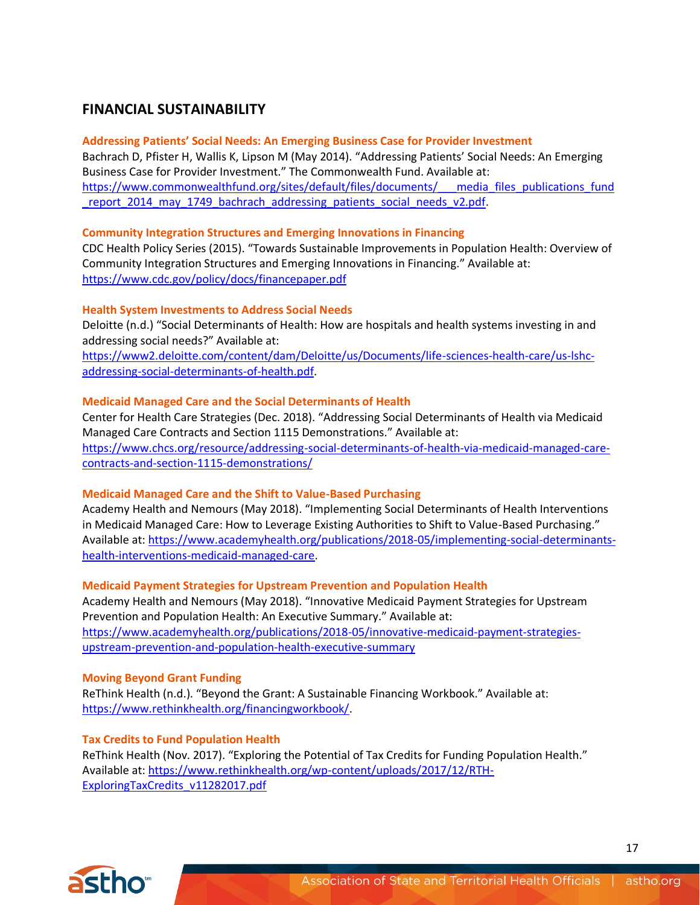# <span id="page-16-0"></span>**FINANCIAL SUSTAINABILITY**

#### **Addressing Patients' Social Needs: An Emerging Business Case for Provider Investment**

Bachrach D, Pfister H, Wallis K, Lipson M (May 2014). "Addressing Patients' Social Needs: An Emerging Business Case for Provider Investment." The Commonwealth Fund. Available at: [https://www.commonwealthfund.org/sites/default/files/documents/\\_\\_\\_media\\_files\\_publications\\_fund](https://www.commonwealthfund.org/sites/default/files/documents/___media_files_publications_fund_report_2014_may_1749_bachrach_addressing_patients_social_needs_v2.pdf) [\\_report\\_2014\\_may\\_1749\\_bachrach\\_addressing\\_patients\\_social\\_needs\\_v2.pdf.](https://www.commonwealthfund.org/sites/default/files/documents/___media_files_publications_fund_report_2014_may_1749_bachrach_addressing_patients_social_needs_v2.pdf)

#### **Community Integration Structures and Emerging Innovations in Financing**

CDC Health Policy Series (2015). "Towards Sustainable Improvements in Population Health: Overview of Community Integration Structures and Emerging Innovations in Financing." Available at: <https://www.cdc.gov/policy/docs/financepaper.pdf>

#### **Health System Investments to Address Social Needs**

Deloitte (n.d.) "Social Determinants of Health: How are hospitals and health systems investing in and addressing social needs?" Available at:

[https://www2.deloitte.com/content/dam/Deloitte/us/Documents/life-sciences-health-care/us-lshc](https://www2.deloitte.com/content/dam/Deloitte/us/Documents/life-sciences-health-care/us-lshc-addressing-social-determinants-of-health.pdf)[addressing-social-determinants-of-health.pdf.](https://www2.deloitte.com/content/dam/Deloitte/us/Documents/life-sciences-health-care/us-lshc-addressing-social-determinants-of-health.pdf)

#### **Medicaid Managed Care and the Social Determinants of Health**

Center for Health Care Strategies (Dec. 2018). "Addressing Social Determinants of Health via Medicaid Managed Care Contracts and Section 1115 Demonstrations." Available at: [https://www.chcs.org/resource/addressing-social-determinants-of-health-via-medicaid-managed-care](https://www.chcs.org/resource/addressing-social-determinants-of-health-via-medicaid-managed-care-contracts-and-section-1115-demonstrations/)[contracts-and-section-1115-demonstrations/](https://www.chcs.org/resource/addressing-social-determinants-of-health-via-medicaid-managed-care-contracts-and-section-1115-demonstrations/)

## **Medicaid Managed Care and the Shift to Value-Based Purchasing**

Academy Health and Nemours (May 2018). "Implementing Social Determinants of Health Interventions in Medicaid Managed Care: How to Leverage Existing Authorities to Shift to Value-Based Purchasing." Available at[: https://www.academyhealth.org/publications/2018-05/implementing-social-determinants](https://www.academyhealth.org/publications/2018-05/implementing-social-determinants-health-interventions-medicaid-managed-care)[health-interventions-medicaid-managed-care.](https://www.academyhealth.org/publications/2018-05/implementing-social-determinants-health-interventions-medicaid-managed-care)

#### **Medicaid Payment Strategies for Upstream Prevention and Population Health**

Academy Health and Nemours (May 2018). "Innovative Medicaid Payment Strategies for Upstream Prevention and Population Health: An Executive Summary." Available at: [https://www.academyhealth.org/publications/2018-05/innovative-medicaid-payment-strategies](https://www.academyhealth.org/publications/2018-05/innovative-medicaid-payment-strategies-upstream-prevention-and-population-health-executive-summary)[upstream-prevention-and-population-health-executive-summary](https://www.academyhealth.org/publications/2018-05/innovative-medicaid-payment-strategies-upstream-prevention-and-population-health-executive-summary)

#### **Moving Beyond Grant Funding**

ReThink Health (n.d.). "Beyond the Grant: A Sustainable Financing Workbook." Available at: [https://www.rethinkhealth.org/financingworkbook/.](https://www.rethinkhealth.org/financingworkbook/)

#### **Tax Credits to Fund Population Health**

ReThink Health (Nov. 2017). "Exploring the Potential of Tax Credits for Funding Population Health." Available at[: https://www.rethinkhealth.org/wp-content/uploads/2017/12/RTH-](https://www.rethinkhealth.org/wp-content/uploads/2017/12/RTH-ExploringTaxCredits_v11282017.pdf)[ExploringTaxCredits\\_v11282017.pdf](https://www.rethinkhealth.org/wp-content/uploads/2017/12/RTH-ExploringTaxCredits_v11282017.pdf)



17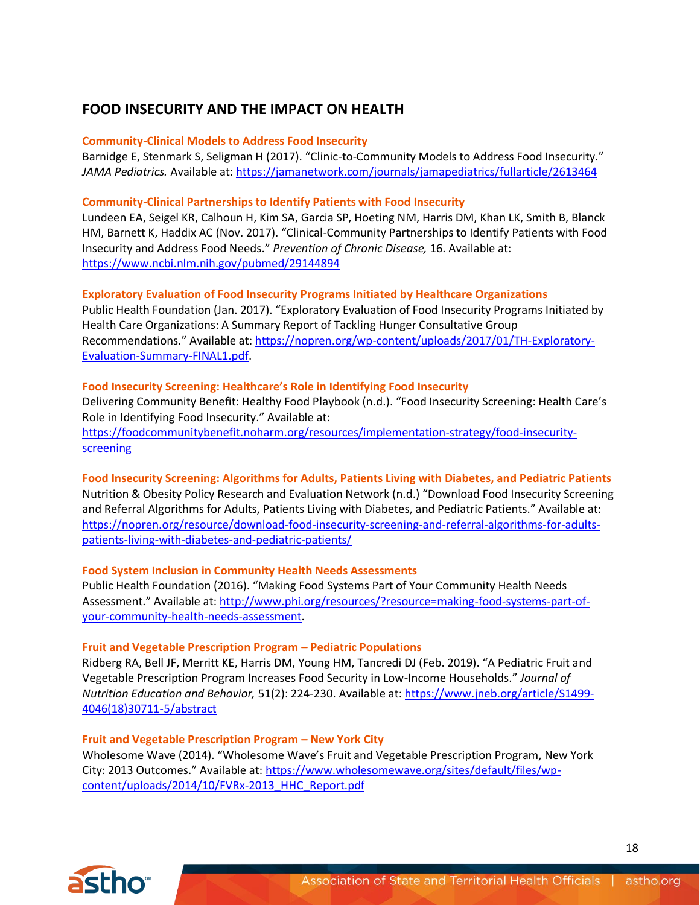# <span id="page-17-0"></span>**FOOD INSECURITY AND THE IMPACT ON HEALTH**

#### **Community-Clinical Models to Address Food Insecurity**

Barnidge E, Stenmark S, Seligman H (2017). "Clinic-to-Community Models to Address Food Insecurity." *JAMA Pediatrics.* Available at[: https://jamanetwork.com/journals/jamapediatrics/fullarticle/2613464](https://jamanetwork.com/journals/jamapediatrics/fullarticle/2613464)

#### **Community-Clinical Partnerships to Identify Patients with Food Insecurity**

Lundeen EA, Seigel KR, Calhoun H, Kim SA, Garcia SP, Hoeting NM, Harris DM, Khan LK, Smith B, Blanck HM, Barnett K, Haddix AC (Nov. 2017). "Clinical-Community Partnerships to Identify Patients with Food Insecurity and Address Food Needs." *Prevention of Chronic Disease,* 16. Available at: <https://www.ncbi.nlm.nih.gov/pubmed/29144894>

#### **Exploratory Evaluation of Food Insecurity Programs Initiated by Healthcare Organizations**

Public Health Foundation (Jan. 2017). "Exploratory Evaluation of Food Insecurity Programs Initiated by Health Care Organizations: A Summary Report of Tackling Hunger Consultative Group Recommendations." Available at: [https://nopren.org/wp-content/uploads/2017/01/TH-Exploratory-](https://nopren.org/wp-content/uploads/2017/01/TH-Exploratory-Evaluation-Summary-FINAL1.pdf)[Evaluation-Summary-FINAL1.pdf.](https://nopren.org/wp-content/uploads/2017/01/TH-Exploratory-Evaluation-Summary-FINAL1.pdf)

## **Food Insecurity Screening: Healthcare's Role in Identifying Food Insecurity**

Delivering Community Benefit: Healthy Food Playbook (n.d.). "Food Insecurity Screening: Health Care's Role in Identifying Food Insecurity." Available at: [https://foodcommunitybenefit.noharm.org/resources/implementation-strategy/food-insecurity](https://foodcommunitybenefit.noharm.org/resources/implementation-strategy/food-insecurity-screening)[screening](https://foodcommunitybenefit.noharm.org/resources/implementation-strategy/food-insecurity-screening)

**Food Insecurity Screening: Algorithms for Adults, Patients Living with Diabetes, and Pediatric Patients** Nutrition & Obesity Policy Research and Evaluation Network (n.d.) "Download Food Insecurity Screening and Referral Algorithms for Adults, Patients Living with Diabetes, and Pediatric Patients." Available at: [https://nopren.org/resource/download-food-insecurity-screening-and-referral-algorithms-for-adults](https://nopren.org/resource/download-food-insecurity-screening-and-referral-algorithms-for-adults-patients-living-with-diabetes-and-pediatric-patients/)[patients-living-with-diabetes-and-pediatric-patients/](https://nopren.org/resource/download-food-insecurity-screening-and-referral-algorithms-for-adults-patients-living-with-diabetes-and-pediatric-patients/)

## **Food System Inclusion in Community Health Needs Assessments**

Public Health Foundation (2016). "Making Food Systems Part of Your Community Health Needs Assessment." Available at: [http://www.phi.org/resources/?resource=making-food-systems-part-of](http://www.phi.org/resources/?resource=making-food-systems-part-of-your-community-health-needs-assessment)[your-community-health-needs-assessment.](http://www.phi.org/resources/?resource=making-food-systems-part-of-your-community-health-needs-assessment)

## **Fruit and Vegetable Prescription Program – Pediatric Populations**

Ridberg RA, Bell JF, Merritt KE, Harris DM, Young HM, Tancredi DJ (Feb. 2019). "A Pediatric Fruit and Vegetable Prescription Program Increases Food Security in Low-Income Households." *Journal of Nutrition Education and Behavior,* 51(2): 224-230. Available at: [https://www.jneb.org/article/S1499-](https://www.jneb.org/article/S1499-4046(18)30711-5/abstract) [4046\(18\)30711-5/abstract](https://www.jneb.org/article/S1499-4046(18)30711-5/abstract)

#### **Fruit and Vegetable Prescription Program – New York City**

Wholesome Wave (2014). "Wholesome Wave's Fruit and Vegetable Prescription Program, New York City: 2013 Outcomes." Available at: [https://www.wholesomewave.org/sites/default/files/wp](https://www.wholesomewave.org/sites/default/files/wp-content/uploads/2014/10/FVRx-2013_HHC_Report.pdf)[content/uploads/2014/10/FVRx-2013\\_HHC\\_Report.pdf](https://www.wholesomewave.org/sites/default/files/wp-content/uploads/2014/10/FVRx-2013_HHC_Report.pdf)

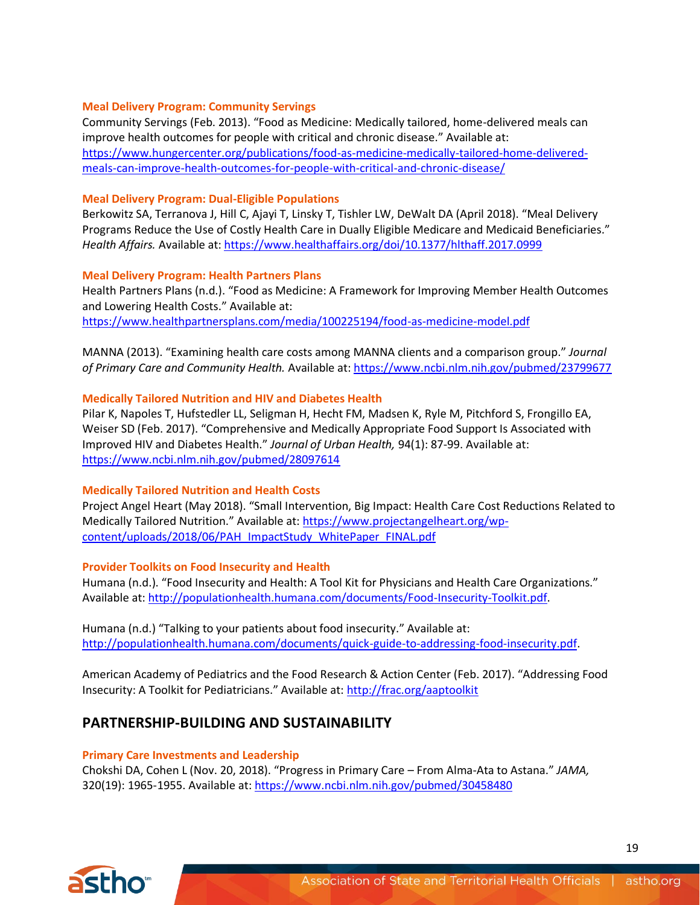#### **Meal Delivery Program: Community Servings**

Community Servings (Feb. 2013). "Food as Medicine: Medically tailored, home-delivered meals can improve health outcomes for people with critical and chronic disease." Available at: [https://www.hungercenter.org/publications/food-as-medicine-medically-tailored-home-delivered](https://www.hungercenter.org/publications/food-as-medicine-medically-tailored-home-delivered-meals-can-improve-health-outcomes-for-people-with-critical-and-chronic-disease/)[meals-can-improve-health-outcomes-for-people-with-critical-and-chronic-disease/](https://www.hungercenter.org/publications/food-as-medicine-medically-tailored-home-delivered-meals-can-improve-health-outcomes-for-people-with-critical-and-chronic-disease/)

#### **Meal Delivery Program: Dual-Eligible Populations**

Berkowitz SA, Terranova J, Hill C, Ajayi T, Linsky T, Tishler LW, DeWalt DA (April 2018). "Meal Delivery Programs Reduce the Use of Costly Health Care in Dually Eligible Medicare and Medicaid Beneficiaries." *Health Affairs.* Available at:<https://www.healthaffairs.org/doi/10.1377/hlthaff.2017.0999>

#### **Meal Delivery Program: Health Partners Plans**

Health Partners Plans (n.d.). "Food as Medicine: A Framework for Improving Member Health Outcomes and Lowering Health Costs." Available at: <https://www.healthpartnersplans.com/media/100225194/food-as-medicine-model.pdf>

MANNA (2013). "Examining health care costs among MANNA clients and a comparison group." *Journal of Primary Care and Community Health.* Available at[: https://www.ncbi.nlm.nih.gov/pubmed/23799677](https://www.ncbi.nlm.nih.gov/pubmed/23799677)

## **Medically Tailored Nutrition and HIV and Diabetes Health**

Pilar K, Napoles T, Hufstedler LL, Seligman H, Hecht FM, Madsen K, Ryle M, Pitchford S, Frongillo EA, Weiser SD (Feb. 2017). "Comprehensive and Medically Appropriate Food Support Is Associated with Improved HIV and Diabetes Health." *Journal of Urban Health,* 94(1): 87-99. Available at: <https://www.ncbi.nlm.nih.gov/pubmed/28097614>

## **Medically Tailored Nutrition and Health Costs**

Project Angel Heart (May 2018). "Small Intervention, Big Impact: Health Care Cost Reductions Related to Medically Tailored Nutrition." Available at: [https://www.projectangelheart.org/wp](https://www.projectangelheart.org/wp-content/uploads/2018/06/PAH_ImpactStudy_WhitePaper_FINAL.pdf)[content/uploads/2018/06/PAH\\_ImpactStudy\\_WhitePaper\\_FINAL.pdf](https://www.projectangelheart.org/wp-content/uploads/2018/06/PAH_ImpactStudy_WhitePaper_FINAL.pdf)

## **Provider Toolkits on Food Insecurity and Health**

Humana (n.d.). "Food Insecurity and Health: A Tool Kit for Physicians and Health Care Organizations." Available at[: http://populationhealth.humana.com/documents/Food-Insecurity-Toolkit.pdf.](http://populationhealth.humana.com/documents/Food-Insecurity-Toolkit.pdf)

Humana (n.d.) "Talking to your patients about food insecurity." Available at: [http://populationhealth.humana.com/documents/quick-guide-to-addressing-food-insecurity.pdf.](http://populationhealth.humana.com/documents/quick-guide-to-addressing-food-insecurity.pdf)

American Academy of Pediatrics and the Food Research & Action Center (Feb. 2017). "Addressing Food Insecurity: A Toolkit for Pediatricians." Available at: <http://frac.org/aaptoolkit>

# <span id="page-18-0"></span>**PARTNERSHIP-BUILDING AND SUSTAINABILITY**

#### **Primary Care Investments and Leadership**

Chokshi DA, Cohen L (Nov. 20, 2018). "Progress in Primary Care – From Alma-Ata to Astana." *JAMA,*  320(19): 1965-1955. Available at:<https://www.ncbi.nlm.nih.gov/pubmed/30458480>

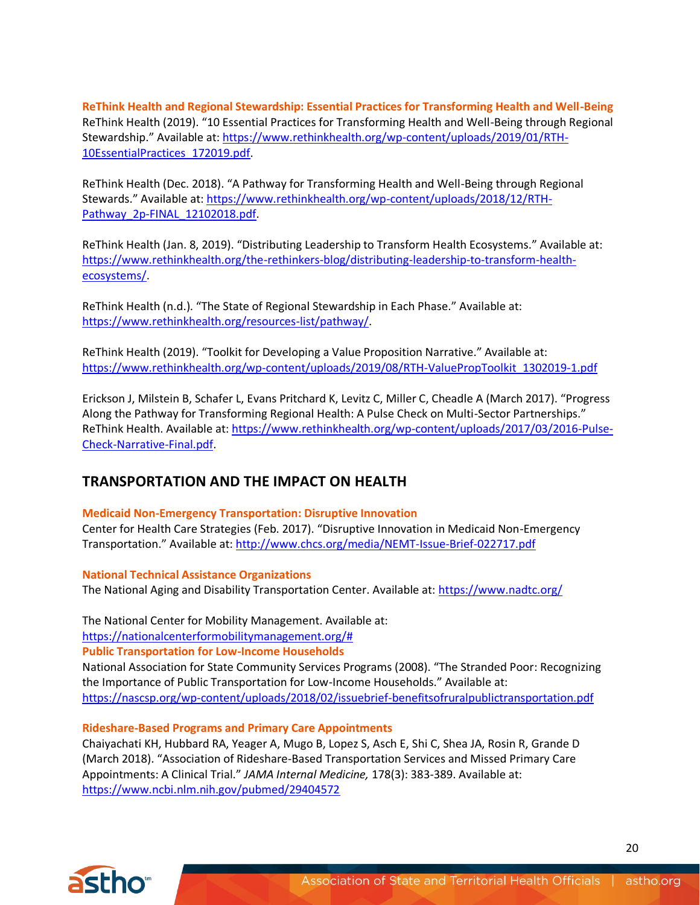**ReThink Health and Regional Stewardship: Essential Practices for Transforming Health and Well-Being** ReThink Health (2019). "10 Essential Practices for Transforming Health and Well-Being through Regional Stewardship." Available at: [https://www.rethinkhealth.org/wp-content/uploads/2019/01/RTH-](https://www.rethinkhealth.org/wp-content/uploads/2019/01/RTH-10EssentialPractices_172019.pdf)[10EssentialPractices\\_172019.pdf.](https://www.rethinkhealth.org/wp-content/uploads/2019/01/RTH-10EssentialPractices_172019.pdf)

ReThink Health (Dec. 2018). "A Pathway for Transforming Health and Well-Being through Regional Stewards." Available at: [https://www.rethinkhealth.org/wp-content/uploads/2018/12/RTH-](https://www.rethinkhealth.org/wp-content/uploads/2018/12/RTH-Pathway_2p-FINAL_12102018.pdf)Pathway\_2p-FINAL\_12102018.pdf

ReThink Health (Jan. 8, 2019). "Distributing Leadership to Transform Health Ecosystems." Available at: [https://www.rethinkhealth.org/the-rethinkers-blog/distributing-leadership-to-transform-health](https://www.rethinkhealth.org/the-rethinkers-blog/distributing-leadership-to-transform-health-ecosystems/)[ecosystems/.](https://www.rethinkhealth.org/the-rethinkers-blog/distributing-leadership-to-transform-health-ecosystems/)

ReThink Health (n.d.). "The State of Regional Stewardship in Each Phase." Available at: [https://www.rethinkhealth.org/resources-list/pathway/.](https://www.rethinkhealth.org/resources-list/pathway/)

ReThink Health (2019). "Toolkit for Developing a Value Proposition Narrative." Available at: [https://www.rethinkhealth.org/wp-content/uploads/2019/08/RTH-ValuePropToolkit\\_1302019-1.pdf](https://www.rethinkhealth.org/wp-content/uploads/2019/08/RTH-ValuePropToolkit_1302019-1.pdf)

Erickson J, Milstein B, Schafer L, Evans Pritchard K, Levitz C, Miller C, Cheadle A (March 2017). "Progress Along the Pathway for Transforming Regional Health: A Pulse Check on Multi-Sector Partnerships." ReThink Health. Available at: [https://www.rethinkhealth.org/wp-content/uploads/2017/03/2016-Pulse-](https://www.rethinkhealth.org/wp-content/uploads/2017/03/2016-Pulse-Check-Narrative-Final.pdf)[Check-Narrative-Final.pdf.](https://www.rethinkhealth.org/wp-content/uploads/2017/03/2016-Pulse-Check-Narrative-Final.pdf)

# <span id="page-19-0"></span>**TRANSPORTATION AND THE IMPACT ON HEALTH**

## **Medicaid Non-Emergency Transportation: Disruptive Innovation**

Center for Health Care Strategies (Feb. 2017). "Disruptive Innovation in Medicaid Non-Emergency Transportation." Available at: <http://www.chcs.org/media/NEMT-Issue-Brief-022717.pdf>

**National Technical Assistance Organizations** The National Aging and Disability Transportation Center. Available at:<https://www.nadtc.org/>

The National Center for Mobility Management. Available at: [https://nationalcenterformobilitymanagement.org/#](https://nationalcenterformobilitymanagement.org/) **Public Transportation for Low-Income Households** 

National Association for State Community Services Programs (2008). "The Stranded Poor: Recognizing the Importance of Public Transportation for Low-Income Households." Available at: <https://nascsp.org/wp-content/uploads/2018/02/issuebrief-benefitsofruralpublictransportation.pdf>

## **Rideshare-Based Programs and Primary Care Appointments**

Chaiyachati KH, Hubbard RA, Yeager A, Mugo B, Lopez S, Asch E, Shi C, Shea JA, Rosin R, Grande D (March 2018). "Association of Rideshare-Based Transportation Services and Missed Primary Care Appointments: A Clinical Trial." *JAMA Internal Medicine,* 178(3): 383-389. Available at: <https://www.ncbi.nlm.nih.gov/pubmed/29404572>

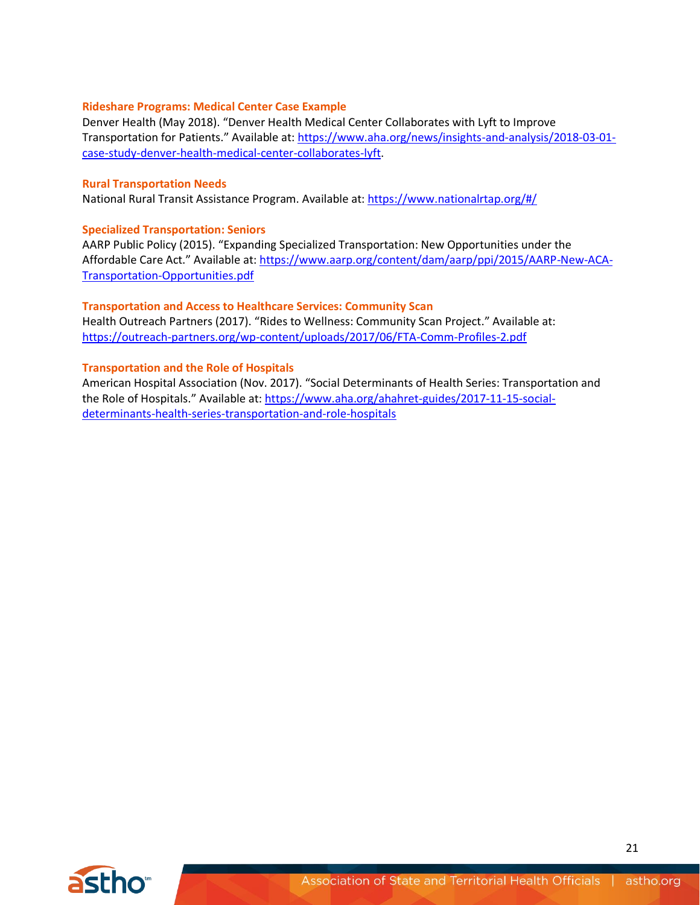#### **Rideshare Programs: Medical Center Case Example**

Denver Health (May 2018). "Denver Health Medical Center Collaborates with Lyft to Improve Transportation for Patients." Available at: [https://www.aha.org/news/insights-and-analysis/2018-03-01](https://www.aha.org/news/insights-and-analysis/2018-03-01-case-study-denver-health-medical-center-collaborates-lyft) [case-study-denver-health-medical-center-collaborates-lyft.](https://www.aha.org/news/insights-and-analysis/2018-03-01-case-study-denver-health-medical-center-collaborates-lyft)

#### **Rural Transportation Needs**

National Rural Transit Assistance Program. Available at:<https://www.nationalrtap.org/#/>

#### **Specialized Transportation: Seniors**

AARP Public Policy (2015). "Expanding Specialized Transportation: New Opportunities under the Affordable Care Act." Available at: [https://www.aarp.org/content/dam/aarp/ppi/2015/AARP-New-ACA-](https://www.aarp.org/content/dam/aarp/ppi/2015/AARP-New-ACA-Transportation-Opportunities.pdf)[Transportation-Opportunities.pdf](https://www.aarp.org/content/dam/aarp/ppi/2015/AARP-New-ACA-Transportation-Opportunities.pdf)

#### **Transportation and Access to Healthcare Services: Community Scan**

Health Outreach Partners (2017). "Rides to Wellness: Community Scan Project." Available at: <https://outreach-partners.org/wp-content/uploads/2017/06/FTA-Comm-Profiles-2.pdf>

#### **Transportation and the Role of Hospitals**

American Hospital Association (Nov. 2017). "Social Determinants of Health Series: Transportation and the Role of Hospitals." Available at: [https://www.aha.org/ahahret-guides/2017-11-15-social](https://www.aha.org/ahahret-guides/2017-11-15-social-determinants-health-series-transportation-and-role-hospitals)[determinants-health-series-transportation-and-role-hospitals](https://www.aha.org/ahahret-guides/2017-11-15-social-determinants-health-series-transportation-and-role-hospitals)

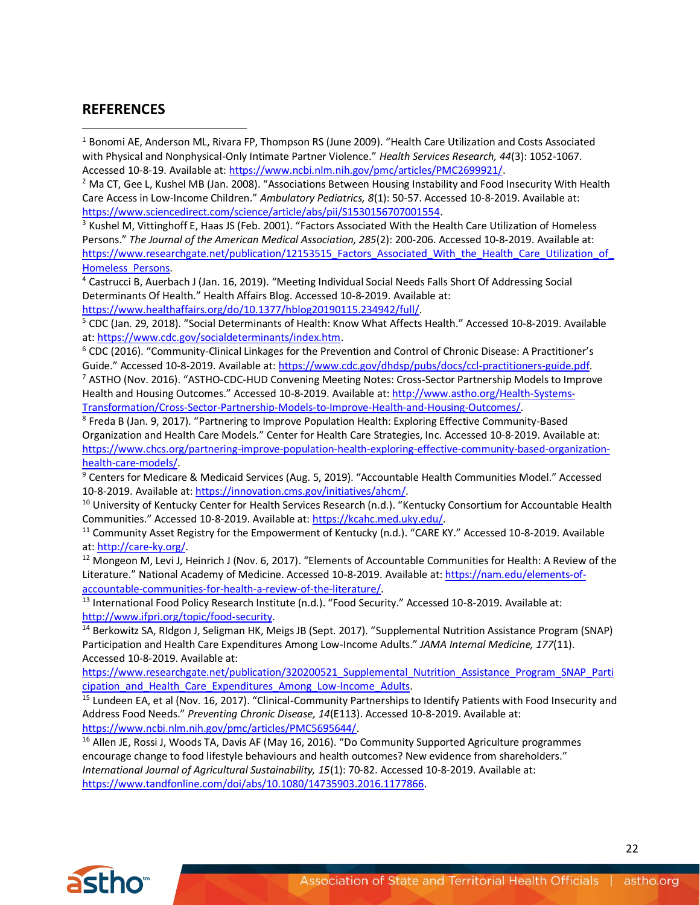# **REFERENCES**

<sup>1</sup> Bonomi AE, Anderson ML, Rivara FP, Thompson RS (June 2009). "Health Care Utilization and Costs Associated with Physical and Nonphysical-Only Intimate Partner Violence." *Health Services Research, 44*(3): 1052-1067. Accessed 10-8-19. Available at[: https://www.ncbi.nlm.nih.gov/pmc/articles/PMC2699921/.](https://www.ncbi.nlm.nih.gov/pmc/articles/PMC2699921/)

<sup>2</sup> Ma CT, Gee L, Kushel MB (Jan. 2008). "Associations Between Housing Instability and Food Insecurity With Health Care Access in Low-Income Children." *Ambulatory Pediatrics, 8*(1): 50-57. Accessed 10-8-2019. Available at: [https://www.sciencedirect.com/science/article/abs/pii/S1530156707001554.](https://www.sciencedirect.com/science/article/abs/pii/S1530156707001554)

<sup>3</sup> Kushel M, Vittinghoff E, Haas JS (Feb. 2001). "Factors Associated With the Health Care Utilization of Homeless Persons." *The Journal of the American Medical Association, 285*(2): 200-206. Accessed 10-8-2019. Available at: https://www.researchgate.net/publication/12153515\_Factors\_Associated\_With\_the\_Health\_Care\_Utilization\_of [Homeless\\_Persons.](https://www.researchgate.net/publication/12153515_Factors_Associated_With_the_Health_Care_Utilization_of_Homeless_Persons)

<sup>4</sup> Castrucci B, Auerbach J (Jan. 16, 2019). "Meeting Individual Social Needs Falls Short Of Addressing Social Determinants Of Health." Health Affairs Blog. Accessed 10-8-2019. Available at: [https://www.healthaffairs.org/do/10.1377/hblog20190115.234942/full/.](https://www.healthaffairs.org/do/10.1377/hblog20190115.234942/full/)

<sup>5</sup> CDC (Jan. 29, 2018). "Social Determinants of Health: Know What Affects Health." Accessed 10-8-2019. Available at: [https://www.cdc.gov/socialdeterminants/index.htm.](https://www.cdc.gov/socialdeterminants/index.htm)

<sup>6</sup> CDC (2016). "Community-Clinical Linkages for the Prevention and Control of Chronic Disease: A Practitioner's Guide." Accessed 10-8-2019. Available at[: https://www.cdc.gov/dhdsp/pubs/docs/ccl-practitioners-guide.pdf.](https://www.cdc.gov/dhdsp/pubs/docs/ccl-practitioners-guide.pdf) <sup>7</sup> ASTHO (Nov. 2016). "ASTHO-CDC-HUD Convening Meeting Notes: Cross-Sector Partnership Models to Improve Health and Housing Outcomes." Accessed 10-8-2019. Available at[: http://www.astho.org/Health-Systems-](http://www.astho.org/Health-Systems-Transformation/Cross-Sector-Partnership-Models-to-Improve-Health-and-Housing-Outcomes/)[Transformation/Cross-Sector-Partnership-Models-to-Improve-Health-and-Housing-Outcomes/.](http://www.astho.org/Health-Systems-Transformation/Cross-Sector-Partnership-Models-to-Improve-Health-and-Housing-Outcomes/)

<sup>8</sup> Freda B (Jan. 9, 2017). "Partnering to Improve Population Health: Exploring Effective Community-Based Organization and Health Care Models." Center for Health Care Strategies, Inc. Accessed 10-8-2019. Available at: [https://www.chcs.org/partnering-improve-population-health-exploring-effective-community-based-organization](https://www.chcs.org/partnering-improve-population-health-exploring-effective-community-based-organization-health-care-models/)[health-care-models/.](https://www.chcs.org/partnering-improve-population-health-exploring-effective-community-based-organization-health-care-models/)

<sup>9</sup> Centers for Medicare & Medicaid Services (Aug. 5, 2019). "Accountable Health Communities Model." Accessed 10-8-2019. Available at[: https://innovation.cms.gov/initiatives/ahcm/.](https://innovation.cms.gov/initiatives/ahcm/)

<sup>10</sup> University of Kentucky Center for Health Services Research (n.d.). "Kentucky Consortium for Accountable Health Communities." Accessed 10-8-2019. Available at[: https://kcahc.med.uky.edu/.](https://kcahc.med.uky.edu/)

<sup>11</sup> Community Asset Registry for the Empowerment of Kentucky (n.d.). "CARE KY." Accessed 10-8-2019. Available at: [http://care-ky.org/.](http://care-ky.org/)

<sup>12</sup> Mongeon M, Levi J, Heinrich J (Nov. 6, 2017). "Elements of Accountable Communities for Health: A Review of the Literature." National Academy of Medicine. Accessed 10-8-2019. Available at[: https://nam.edu/elements-of](https://nam.edu/elements-of-accountable-communities-for-health-a-review-of-the-literature/)[accountable-communities-for-health-a-review-of-the-literature/.](https://nam.edu/elements-of-accountable-communities-for-health-a-review-of-the-literature/)

13 International Food Policy Research Institute (n.d.). "Food Security." Accessed 10-8-2019. Available at: [http://www.ifpri.org/topic/food-security.](http://www.ifpri.org/topic/food-security)

<sup>14</sup> Berkowitz SA, RIdgon J, Seligman HK, Meigs JB (Sept. 2017). "Supplemental Nutrition Assistance Program (SNAP) Participation and Health Care Expenditures Among Low-Income Adults." *JAMA Internal Medicine, 177*(11). Accessed 10-8-2019. Available at:

[https://www.researchgate.net/publication/320200521\\_Supplemental\\_Nutrition\\_Assistance\\_Program\\_SNAP\\_Parti](https://www.researchgate.net/publication/320200521_Supplemental_Nutrition_Assistance_Program_SNAP_Participation_and_Health_Care_Expenditures_Among_Low-Income_Adults) cipation and Health Care Expenditures Among Low-Income Adults.

<sup>15</sup> Lundeen EA, et al (Nov. 16, 2017). "Clinical-Community Partnerships to Identify Patients with Food Insecurity and Address Food Needs." *Preventing Chronic Disease, 14*(E113). Accessed 10-8-2019. Available at: [https://www.ncbi.nlm.nih.gov/pmc/articles/PMC5695644/.](https://www.ncbi.nlm.nih.gov/pmc/articles/PMC5695644/)

<sup>16</sup> Allen JE, Rossi J, Woods TA, Davis AF (May 16, 2016). "Do Community Supported Agriculture programmes encourage change to food lifestyle behaviours and health outcomes? New evidence from shareholders." *International Journal of Agricultural Sustainability, 15*(1): 70-82. Accessed 10-8-2019. Available at: [https://www.tandfonline.com/doi/abs/10.1080/14735903.2016.1177866.](https://www.tandfonline.com/doi/abs/10.1080/14735903.2016.1177866)

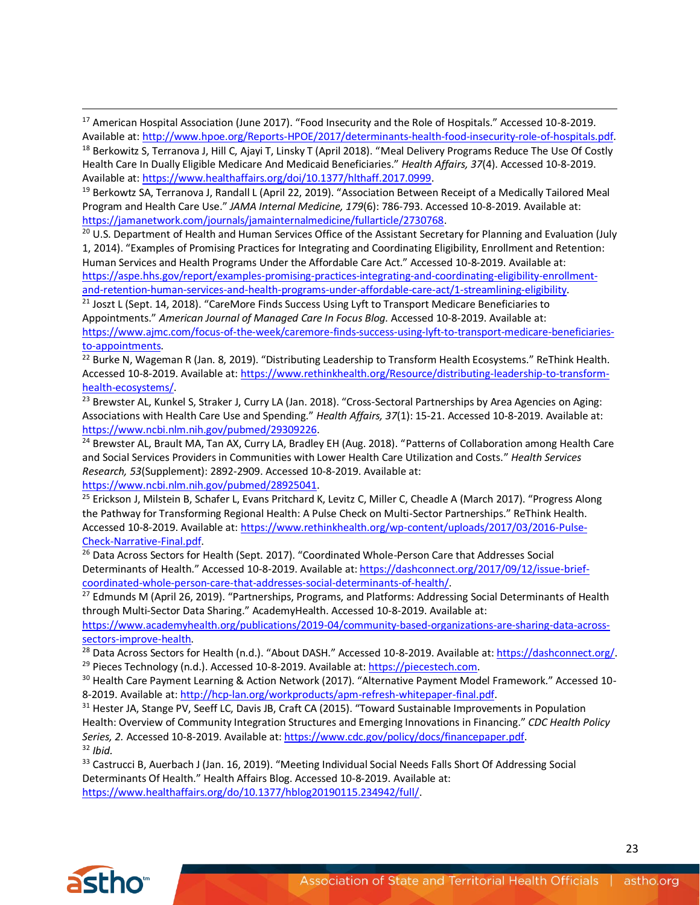<sup>17</sup> American Hospital Association (June 2017). "Food Insecurity and the Role of Hospitals." Accessed 10-8-2019. Available at[: http://www.hpoe.org/Reports-HPOE/2017/determinants-health-food-insecurity-role-of-hospitals.pdf.](http://www.hpoe.org/Reports-HPOE/2017/determinants-health-food-insecurity-role-of-hospitals.pdf)

<sup>18</sup> Berkowitz S, Terranova J, Hill C, Ajayi T, Linsky T (April 2018). "Meal Delivery Programs Reduce The Use Of Costly Health Care In Dually Eligible Medicare And Medicaid Beneficiaries." *Health Affairs, 37*(4). Accessed 10-8-2019. Available at[: https://www.healthaffairs.org/doi/10.1377/hlthaff.2017.0999.](https://www.healthaffairs.org/doi/10.1377/hlthaff.2017.0999)

<sup>19</sup> Berkowtz SA, Terranova J, Randall L (April 22, 2019). "Association Between Receipt of a Medically Tailored Meal Program and Health Care Use." *JAMA Internal Medicine, 179*(6): 786-793. Accessed 10-8-2019. Available at: [https://jamanetwork.com/journals/jamainternalmedicine/fullarticle/2730768.](https://jamanetwork.com/journals/jamainternalmedicine/fullarticle/2730768)

<sup>20</sup> U.S. Department of Health and Human Services Office of the Assistant Secretary for Planning and Evaluation (July 1, 2014). "Examples of Promising Practices for Integrating and Coordinating Eligibility, Enrollment and Retention: Human Services and Health Programs Under the Affordable Care Act." Accessed 10-8-2019. Available at: [https://aspe.hhs.gov/report/examples-promising-practices-integrating-and-coordinating-eligibility-enrollment](https://aspe.hhs.gov/report/examples-promising-practices-integrating-and-coordinating-eligibility-enrollment-and-retention-human-services-and-health-programs-under-affordable-care-act/1-streamlining-eligibility)[and-retention-human-services-and-health-programs-under-affordable-care-act/1-streamlining-eligibility.](https://aspe.hhs.gov/report/examples-promising-practices-integrating-and-coordinating-eligibility-enrollment-and-retention-human-services-and-health-programs-under-affordable-care-act/1-streamlining-eligibility)

<sup>21</sup> Joszt L (Sept. 14, 2018). "CareMore Finds Success Using Lyft to Transport Medicare Beneficiaries to Appointments." *American Journal of Managed Care In Focus Blog.* Accessed 10-8-2019. Available at: [https://www.ajmc.com/focus-of-the-week/caremore-finds-success-using-lyft-to-transport-medicare-beneficiaries](https://www.ajmc.com/focus-of-the-week/caremore-finds-success-using-lyft-to-transport-medicare-beneficiaries-to-appointments)[to-appointments.](https://www.ajmc.com/focus-of-the-week/caremore-finds-success-using-lyft-to-transport-medicare-beneficiaries-to-appointments)

<sup>22</sup> Burke N, Wageman R (Jan. 8, 2019). "Distributing Leadership to Transform Health Ecosystems." ReThink Health. Accessed 10-8-2019. Available at[: https://www.rethinkhealth.org/Resource/distributing-leadership-to-transform](https://www.rethinkhealth.org/Resource/distributing-leadership-to-transform-health-ecosystems/)[health-ecosystems/.](https://www.rethinkhealth.org/Resource/distributing-leadership-to-transform-health-ecosystems/)

<sup>23</sup> Brewster AL, Kunkel S, Straker J, Curry LA (Jan. 2018). "Cross-Sectoral Partnerships by Area Agencies on Aging: Associations with Health Care Use and Spending." *Health Affairs, 37*(1): 15-21. Accessed 10-8-2019. Available at: [https://www.ncbi.nlm.nih.gov/pubmed/29309226.](https://www.ncbi.nlm.nih.gov/pubmed/29309226)

<sup>24</sup> Brewster AL, Brault MA, Tan AX, Curry LA, Bradley EH (Aug. 2018). "Patterns of Collaboration among Health Care and Social Services Providers in Communities with Lower Health Care Utilization and Costs." *Health Services Research, 53*(Supplement): 2892-2909. Accessed 10-8-2019. Available at: [https://www.ncbi.nlm.nih.gov/pubmed/28925041.](https://www.ncbi.nlm.nih.gov/pubmed/28925041)

<sup>25</sup> Erickson J, Milstein B, Schafer L, Evans Pritchard K, Levitz C, Miller C, Cheadle A (March 2017). "Progress Along the Pathway for Transforming Regional Health: A Pulse Check on Multi-Sector Partnerships." ReThink Health. Accessed 10-8-2019. Available at[: https://www.rethinkhealth.org/wp-content/uploads/2017/03/2016-Pulse-](https://www.rethinkhealth.org/wp-content/uploads/2017/03/2016-Pulse-Check-Narrative-Final.pdf)[Check-Narrative-Final.pdf.](https://www.rethinkhealth.org/wp-content/uploads/2017/03/2016-Pulse-Check-Narrative-Final.pdf)

<sup>26</sup> Data Across Sectors for Health (Sept. 2017). "Coordinated Whole-Person Care that Addresses Social Determinants of Health." Accessed 10-8-2019. Available at[: https://dashconnect.org/2017/09/12/issue-brief](https://dashconnect.org/2017/09/12/issue-brief-coordinated-whole-person-care-that-addresses-social-determinants-of-health/)[coordinated-whole-person-care-that-addresses-social-determinants-of-health/.](https://dashconnect.org/2017/09/12/issue-brief-coordinated-whole-person-care-that-addresses-social-determinants-of-health/)

<sup>27</sup> Edmunds M (April 26, 2019). "Partnerships, Programs, and Platforms: Addressing Social Determinants of Health through Multi-Sector Data Sharing." AcademyHealth. Accessed 10-8-2019. Available at:

[https://www.academyhealth.org/publications/2019-04/community-based-organizations-are-sharing-data-across](https://www.academyhealth.org/publications/2019-04/community-based-organizations-are-sharing-data-across-sectors-improve-health)[sectors-improve-health.](https://www.academyhealth.org/publications/2019-04/community-based-organizations-are-sharing-data-across-sectors-improve-health)

<sup>28</sup> Data Across Sectors for Health (n.d.). "About DASH." Accessed 10-8-2019. Available at[: https://dashconnect.org/.](https://dashconnect.org/) <sup>29</sup> Pieces Technology (n.d.). Accessed 10-8-2019. Available at[: https://piecestech.com.](https://piecestech.com/)

<sup>30</sup> Health Care Payment Learning & Action Network (2017). "Alternative Payment Model Framework." Accessed 10-8-2019. Available at[: http://hcp-lan.org/workproducts/apm-refresh-whitepaper-final.pdf.](http://hcp-lan.org/workproducts/apm-refresh-whitepaper-final.pdf)

<sup>31</sup> Hester JA, Stange PV, Seeff LC, Davis JB, Craft CA (2015). "Toward Sustainable Improvements in Population Health: Overview of Community Integration Structures and Emerging Innovations in Financing." *CDC Health Policy Series, 2.* Accessed 10-8-2019. Available at[: https://www.cdc.gov/policy/docs/financepaper.pdf.](https://www.cdc.gov/policy/docs/financepaper.pdf) <sup>32</sup> *Ibid.*

33 Castrucci B, Auerbach J (Jan. 16, 2019). "Meeting Individual Social Needs Falls Short Of Addressing Social Determinants Of Health." Health Affairs Blog. Accessed 10-8-2019. Available at: [https://www.healthaffairs.org/do/10.1377/hblog20190115.234942/full/.](https://www.healthaffairs.org/do/10.1377/hblog20190115.234942/full/)